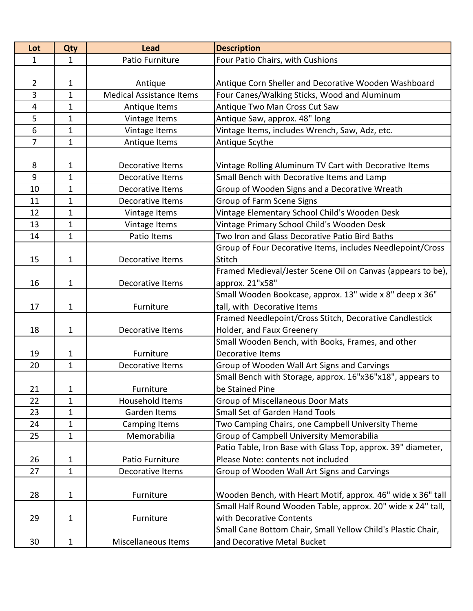| Lot            | <b>Qty</b>   | <b>Lead</b>                     | <b>Description</b>                                           |
|----------------|--------------|---------------------------------|--------------------------------------------------------------|
| $\mathbf{1}$   | 1            | Patio Furniture                 | Four Patio Chairs, with Cushions                             |
|                |              |                                 |                                                              |
| $\overline{2}$ | 1            | Antique                         | Antique Corn Sheller and Decorative Wooden Washboard         |
| 3              | $\mathbf{1}$ | <b>Medical Assistance Items</b> | Four Canes/Walking Sticks, Wood and Aluminum                 |
| 4              | $\mathbf{1}$ | Antique Items                   | Antique Two Man Cross Cut Saw                                |
| 5              | $\mathbf 1$  | Vintage Items                   | Antique Saw, approx. 48" long                                |
| 6              | $\mathbf{1}$ | Vintage Items                   | Vintage Items, includes Wrench, Saw, Adz, etc.               |
| $\overline{7}$ | $\mathbf{1}$ | Antique Items                   | Antique Scythe                                               |
|                |              |                                 |                                                              |
| 8              | 1            | Decorative Items                | Vintage Rolling Aluminum TV Cart with Decorative Items       |
| 9              | 1            | Decorative Items                | Small Bench with Decorative Items and Lamp                   |
| 10             | $\mathbf{1}$ | Decorative Items                | Group of Wooden Signs and a Decorative Wreath                |
| 11             | $\mathbf{1}$ | Decorative Items                | Group of Farm Scene Signs                                    |
| 12             | 1            | Vintage Items                   | Vintage Elementary School Child's Wooden Desk                |
| 13             | 1            | Vintage Items                   | Vintage Primary School Child's Wooden Desk                   |
| 14             | $\mathbf 1$  | Patio Items                     | Two Iron and Glass Decorative Patio Bird Baths               |
|                |              |                                 | Group of Four Decorative Items, includes Needlepoint/Cross   |
| 15             | $\mathbf 1$  | Decorative Items                | Stitch                                                       |
|                |              |                                 | Framed Medieval/Jester Scene Oil on Canvas (appears to be),  |
| 16             | $\mathbf 1$  | Decorative Items                | approx. 21"x58"                                              |
|                |              |                                 | Small Wooden Bookcase, approx. 13" wide x 8" deep x 36"      |
| 17             | $\mathbf 1$  | Furniture                       | tall, with Decorative Items                                  |
|                |              |                                 | Framed Needlepoint/Cross Stitch, Decorative Candlestick      |
| 18             | $\mathbf 1$  | Decorative Items                | Holder, and Faux Greenery                                    |
|                |              |                                 | Small Wooden Bench, with Books, Frames, and other            |
| 19             | $\mathbf 1$  | Furniture                       | Decorative Items                                             |
| 20             | 1            | Decorative Items                | Group of Wooden Wall Art Signs and Carvings                  |
|                |              |                                 | Small Bench with Storage, approx. 16"x36"x18", appears to    |
| 21             | 1            | Furniture                       | be Stained Pine                                              |
| 22             | $\mathbf{1}$ | Household Items                 | <b>Group of Miscellaneous Door Mats</b>                      |
| 23             | $\mathbf{1}$ | Garden Items                    | Small Set of Garden Hand Tools                               |
| 24             | 1            | Camping Items                   | Two Camping Chairs, one Campbell University Theme            |
| 25             | $\mathbf{1}$ | Memorabilia                     | Group of Campbell University Memorabilia                     |
|                |              |                                 | Patio Table, Iron Base with Glass Top, approx. 39" diameter, |
| 26             | 1            | Patio Furniture                 | Please Note: contents not included                           |
| 27             | $\mathbf 1$  | Decorative Items                | Group of Wooden Wall Art Signs and Carvings                  |
|                |              |                                 |                                                              |
| 28             | $\mathbf 1$  | Furniture                       | Wooden Bench, with Heart Motif, approx. 46" wide x 36" tall  |
|                |              |                                 | Small Half Round Wooden Table, approx. 20" wide x 24" tall,  |
| 29             | 1            | Furniture                       | with Decorative Contents                                     |
|                |              |                                 | Small Cane Bottom Chair, Small Yellow Child's Plastic Chair, |
| 30             | 1            | Miscellaneous Items             | and Decorative Metal Bucket                                  |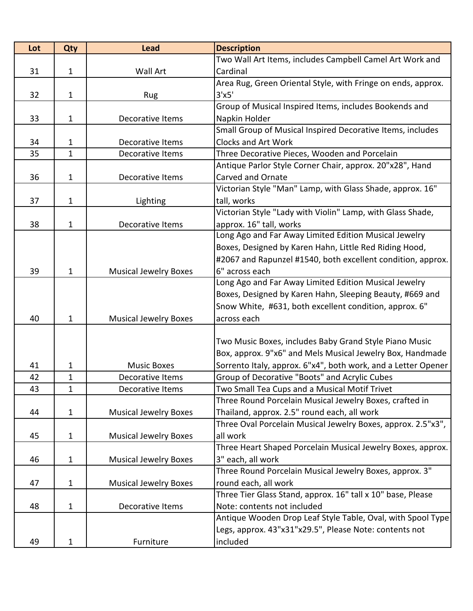| Lot | Qty          | <b>Lead</b>                  | <b>Description</b>                                            |
|-----|--------------|------------------------------|---------------------------------------------------------------|
|     |              |                              | Two Wall Art Items, includes Campbell Camel Art Work and      |
| 31  | $\mathbf{1}$ | Wall Art                     | Cardinal                                                      |
|     |              |                              | Area Rug, Green Oriental Style, with Fringe on ends, approx.  |
| 32  | $\mathbf{1}$ | Rug                          | 3'x5'                                                         |
|     |              |                              | Group of Musical Inspired Items, includes Bookends and        |
| 33  | $\mathbf{1}$ | Decorative Items             | Napkin Holder                                                 |
|     |              |                              | Small Group of Musical Inspired Decorative Items, includes    |
| 34  | 1            | <b>Decorative Items</b>      | Clocks and Art Work                                           |
| 35  | $\mathbf 1$  | Decorative Items             | Three Decorative Pieces, Wooden and Porcelain                 |
|     |              |                              | Antique Parlor Style Corner Chair, approx. 20"x28", Hand      |
| 36  | 1            | Decorative Items             | <b>Carved and Ornate</b>                                      |
|     |              |                              | Victorian Style "Man" Lamp, with Glass Shade, approx. 16"     |
| 37  | 1            | Lighting                     | tall, works                                                   |
|     |              |                              | Victorian Style "Lady with Violin" Lamp, with Glass Shade,    |
| 38  | $\mathbf{1}$ | Decorative Items             | approx. 16" tall, works                                       |
|     |              |                              | Long Ago and Far Away Limited Edition Musical Jewelry         |
|     |              |                              | Boxes, Designed by Karen Hahn, Little Red Riding Hood,        |
|     |              |                              | #2067 and Rapunzel #1540, both excellent condition, approx.   |
| 39  | 1            | <b>Musical Jewelry Boxes</b> | 6" across each                                                |
|     |              |                              | Long Ago and Far Away Limited Edition Musical Jewelry         |
|     |              |                              | Boxes, Designed by Karen Hahn, Sleeping Beauty, #669 and      |
|     |              |                              | Snow White, #631, both excellent condition, approx. 6"        |
| 40  | $\mathbf{1}$ | <b>Musical Jewelry Boxes</b> | across each                                                   |
|     |              |                              |                                                               |
|     |              |                              | Two Music Boxes, includes Baby Grand Style Piano Music        |
|     |              |                              | Box, approx. 9"x6" and Mels Musical Jewelry Box, Handmade     |
| 41  | 1            | <b>Music Boxes</b>           | Sorrento Italy, approx. 6"x4", both work, and a Letter Opener |
| 42  | $\mathbf{1}$ | Decorative Items             | Group of Decorative "Boots" and Acrylic Cubes                 |
| 43  | 1            | Decorative Items             | Two Small Tea Cups and a Musical Motif Trivet                 |
|     |              |                              | Three Round Porcelain Musical Jewelry Boxes, crafted in       |
| 44  | 1            | <b>Musical Jewelry Boxes</b> | Thailand, approx. 2.5" round each, all work                   |
|     |              |                              | Three Oval Porcelain Musical Jewelry Boxes, approx. 2.5"x3",  |
| 45  | 1            | <b>Musical Jewelry Boxes</b> | all work                                                      |
|     |              |                              | Three Heart Shaped Porcelain Musical Jewelry Boxes, approx.   |
| 46  | 1            | <b>Musical Jewelry Boxes</b> | 3" each, all work                                             |
|     |              |                              | Three Round Porcelain Musical Jewelry Boxes, approx. 3"       |
| 47  | $\mathbf{1}$ | <b>Musical Jewelry Boxes</b> | round each, all work                                          |
|     |              |                              | Three Tier Glass Stand, approx. 16" tall x 10" base, Please   |
| 48  | 1            | Decorative Items             | Note: contents not included                                   |
|     |              |                              | Antique Wooden Drop Leaf Style Table, Oval, with Spool Type   |
|     |              |                              | Legs, approx. 43"x31"x29.5", Please Note: contents not        |
| 49  | $\mathbf{1}$ | Furniture                    | included                                                      |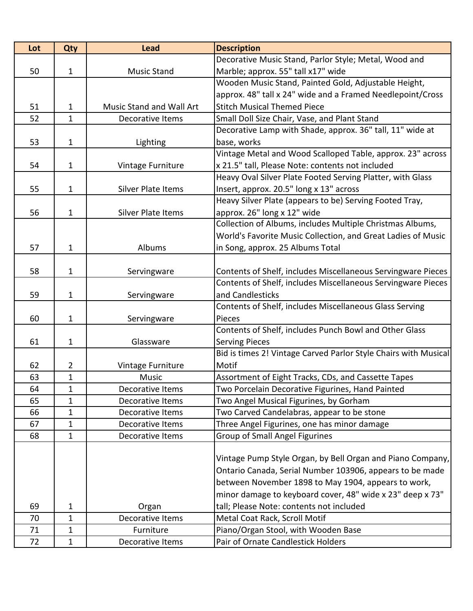| Lot | Qty            | <b>Lead</b>                     | <b>Description</b>                                              |
|-----|----------------|---------------------------------|-----------------------------------------------------------------|
|     |                |                                 | Decorative Music Stand, Parlor Style; Metal, Wood and           |
| 50  | $\mathbf{1}$   | <b>Music Stand</b>              | Marble; approx. 55" tall x17" wide                              |
|     |                |                                 | Wooden Music Stand, Painted Gold, Adjustable Height,            |
|     |                |                                 | approx. 48" tall x 24" wide and a Framed Needlepoint/Cross      |
| 51  | 1              | <b>Music Stand and Wall Art</b> | <b>Stitch Musical Themed Piece</b>                              |
| 52  | $\mathbf{1}$   | Decorative Items                | Small Doll Size Chair, Vase, and Plant Stand                    |
|     |                |                                 | Decorative Lamp with Shade, approx. 36" tall, 11" wide at       |
| 53  | $\mathbf 1$    | Lighting                        | base, works                                                     |
|     |                |                                 | Vintage Metal and Wood Scalloped Table, approx. 23" across      |
| 54  | $\mathbf{1}$   | Vintage Furniture               | x 21.5" tall, Please Note: contents not included                |
|     |                |                                 | Heavy Oval Silver Plate Footed Serving Platter, with Glass      |
| 55  | $\mathbf 1$    | Silver Plate Items              | Insert, approx. 20.5" long x 13" across                         |
|     |                |                                 | Heavy Silver Plate (appears to be) Serving Footed Tray,         |
| 56  | 1              | Silver Plate Items              | approx. 26" long x 12" wide                                     |
|     |                |                                 | Collection of Albums, includes Multiple Christmas Albums,       |
|     |                |                                 | World's Favorite Music Collection, and Great Ladies of Music    |
| 57  | $\mathbf{1}$   | Albums                          | in Song, approx. 25 Albums Total                                |
|     |                |                                 |                                                                 |
| 58  | $\mathbf 1$    | Servingware                     | Contents of Shelf, includes Miscellaneous Servingware Pieces    |
|     |                |                                 | Contents of Shelf, includes Miscellaneous Servingware Pieces    |
| 59  | $\mathbf 1$    | Servingware                     | and Candlesticks                                                |
|     |                |                                 | Contents of Shelf, includes Miscellaneous Glass Serving         |
| 60  | $\mathbf{1}$   | Servingware                     | Pieces                                                          |
|     |                |                                 | Contents of Shelf, includes Punch Bowl and Other Glass          |
| 61  | $\mathbf 1$    | Glassware                       | <b>Serving Pieces</b>                                           |
|     |                |                                 | Bid is times 2! Vintage Carved Parlor Style Chairs with Musical |
| 62  | $\overline{2}$ | Vintage Furniture               | Motif                                                           |
| 63  | 1              | Music                           | Assortment of Eight Tracks, CDs, and Cassette Tapes             |
| 64  | 1              | Decorative Items                | Two Porcelain Decorative Figurines, Hand Painted                |
| 65  | $\mathbf{1}$   | Decorative Items                | Two Angel Musical Figurines, by Gorham                          |
| 66  | 1              | Decorative Items                | Two Carved Candelabras, appear to be stone                      |
| 67  | $\mathbf 1$    | Decorative Items                | Three Angel Figurines, one has minor damage                     |
| 68  | $\mathbf 1$    | Decorative Items                | <b>Group of Small Angel Figurines</b>                           |
|     |                |                                 |                                                                 |
|     |                |                                 | Vintage Pump Style Organ, by Bell Organ and Piano Company,      |
|     |                |                                 | Ontario Canada, Serial Number 103906, appears to be made        |
|     |                |                                 | between November 1898 to May 1904, appears to work,             |
|     |                |                                 | minor damage to keyboard cover, 48" wide x 23" deep x 73"       |
| 69  | 1              | Organ                           | tall; Please Note: contents not included                        |
| 70  | $\mathbf{1}$   | Decorative Items                | Metal Coat Rack, Scroll Motif                                   |
| 71  | $\mathbf{1}$   | Furniture                       | Piano/Organ Stool, with Wooden Base                             |
| 72  | $\mathbf{1}$   | Decorative Items                | Pair of Ornate Candlestick Holders                              |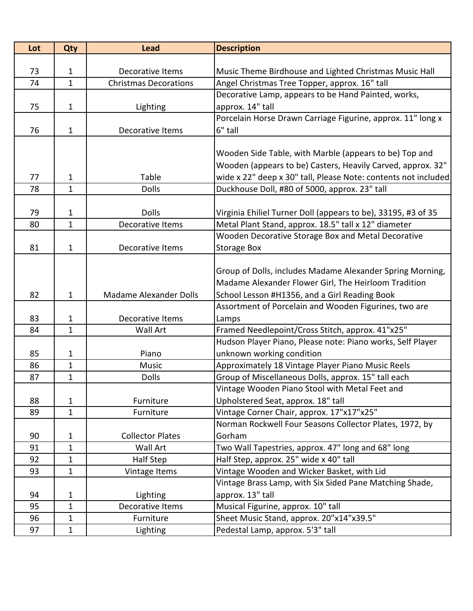| Lot | Qty          | <b>Lead</b>                   | <b>Description</b>                                             |
|-----|--------------|-------------------------------|----------------------------------------------------------------|
|     |              |                               |                                                                |
| 73  | 1            | Decorative Items              | Music Theme Birdhouse and Lighted Christmas Music Hall         |
| 74  | $\mathbf{1}$ | <b>Christmas Decorations</b>  | Angel Christmas Tree Topper, approx. 16" tall                  |
|     |              |                               | Decorative Lamp, appears to be Hand Painted, works,            |
| 75  | $\mathbf 1$  | Lighting                      | approx. 14" tall                                               |
|     |              |                               | Porcelain Horse Drawn Carriage Figurine, approx. 11" long x    |
| 76  | $\mathbf 1$  | Decorative Items              | 6" tall                                                        |
|     |              |                               |                                                                |
|     |              |                               | Wooden Side Table, with Marble (appears to be) Top and         |
|     |              |                               | Wooden (appears to be) Casters, Heavily Carved, approx. 32"    |
| 77  | 1            | Table                         | wide x 22" deep x 30" tall, Please Note: contents not included |
| 78  | $\mathbf{1}$ | <b>Dolls</b>                  | Duckhouse Doll, #80 of 5000, approx. 23" tall                  |
|     |              |                               |                                                                |
| 79  | 1            | <b>Dolls</b>                  | Virginia Ehiliel Turner Doll (appears to be), 33195, #3 of 35  |
| 80  | $\mathbf{1}$ | Decorative Items              | Metal Plant Stand, approx. 18.5" tall x 12" diameter           |
|     |              |                               | Wooden Decorative Storage Box and Metal Decorative             |
| 81  | $\mathbf{1}$ | Decorative Items              | <b>Storage Box</b>                                             |
|     |              |                               |                                                                |
|     |              |                               | Group of Dolls, includes Madame Alexander Spring Morning,      |
|     |              |                               | Madame Alexander Flower Girl, The Heirloom Tradition           |
| 82  | $\mathbf 1$  | <b>Madame Alexander Dolls</b> | School Lesson #H1356, and a Girl Reading Book                  |
|     |              |                               | Assortment of Porcelain and Wooden Figurines, two are          |
| 83  | $\mathbf 1$  | Decorative Items              | Lamps                                                          |
| 84  | $\mathbf{1}$ | <b>Wall Art</b>               | Framed Needlepoint/Cross Stitch, approx. 41"x25"               |
|     |              |                               | Hudson Player Piano, Please note: Piano works, Self Player     |
| 85  | 1            | Piano                         | unknown working condition                                      |
| 86  | $\mathbf{1}$ | <b>Music</b>                  | Approximately 18 Vintage Player Piano Music Reels              |
| 87  | $\mathbf{1}$ | <b>Dolls</b>                  | Group of Miscellaneous Dolls, approx. 15" tall each            |
|     |              |                               | Vintage Wooden Piano Stool with Metal Feet and                 |
| 88  | $\mathbf{1}$ | Furniture                     | Upholstered Seat, approx. 18" tall                             |
| 89  | 1            | Furniture                     | Vintage Corner Chair, approx. 17"x17"x25"                      |
|     |              |                               | Norman Rockwell Four Seasons Collector Plates, 1972, by        |
| 90  | 1            | <b>Collector Plates</b>       | Gorham                                                         |
| 91  | $\mathbf{1}$ | Wall Art                      | Two Wall Tapestries, approx. 47" long and 68" long             |
| 92  | 1            | Half Step                     | Half Step, approx. 25" wide x 40" tall                         |
| 93  | $\mathbf{1}$ | Vintage Items                 | Vintage Wooden and Wicker Basket, with Lid                     |
|     |              |                               | Vintage Brass Lamp, with Six Sided Pane Matching Shade,        |
| 94  | 1            | Lighting                      | approx. 13" tall                                               |
| 95  | $\mathbf{1}$ | Decorative Items              | Musical Figurine, approx. 10" tall                             |
| 96  | 1            | Furniture                     | Sheet Music Stand, approx. 20"x14"x39.5"                       |
| 97  | $\mathbf{1}$ | Lighting                      | Pedestal Lamp, approx. 5'3" tall                               |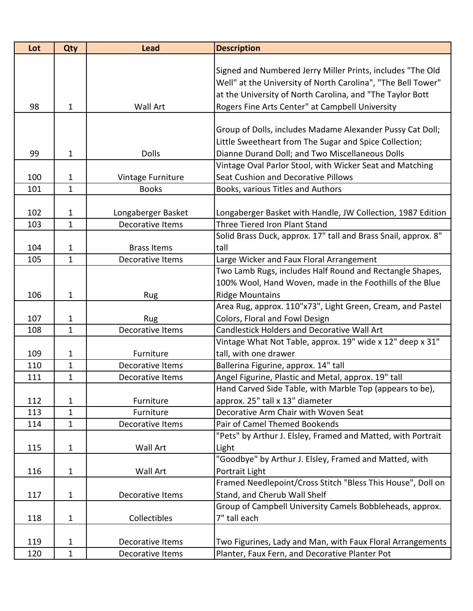| Lot | <b>Qty</b>   | <b>Lead</b>        | <b>Description</b>                                             |
|-----|--------------|--------------------|----------------------------------------------------------------|
|     |              |                    |                                                                |
|     |              |                    | Signed and Numbered Jerry Miller Prints, includes "The Old     |
|     |              |                    | Well" at the University of North Carolina", "The Bell Tower"   |
|     |              |                    | at the University of North Carolina, and "The Taylor Bott      |
| 98  | $\mathbf{1}$ | Wall Art           | Rogers Fine Arts Center" at Campbell University                |
|     |              |                    |                                                                |
|     |              |                    | Group of Dolls, includes Madame Alexander Pussy Cat Doll;      |
|     |              |                    | Little Sweetheart from The Sugar and Spice Collection;         |
| 99  | 1            | <b>Dolls</b>       | Dianne Durand Doll; and Two Miscellaneous Dolls                |
|     |              |                    | Vintage Oval Parlor Stool, with Wicker Seat and Matching       |
| 100 | 1            | Vintage Furniture  | Seat Cushion and Decorative Pillows                            |
| 101 | $\mathbf 1$  | <b>Books</b>       | Books, various Titles and Authors                              |
|     |              |                    |                                                                |
| 102 | 1            | Longaberger Basket | Longaberger Basket with Handle, JW Collection, 1987 Edition    |
| 103 | $\mathbf{1}$ | Decorative Items   | Three Tiered Iron Plant Stand                                  |
|     |              |                    | Solid Brass Duck, approx. 17" tall and Brass Snail, approx. 8" |
| 104 | 1            | <b>Brass Items</b> | tall                                                           |
| 105 | 1            | Decorative Items   | Large Wicker and Faux Floral Arrangement                       |
|     |              |                    | Two Lamb Rugs, includes Half Round and Rectangle Shapes,       |
|     |              |                    | 100% Wool, Hand Woven, made in the Foothills of the Blue       |
| 106 | $\mathbf{1}$ | Rug                | <b>Ridge Mountains</b>                                         |
|     |              |                    | Area Rug, approx. 110"x73", Light Green, Cream, and Pastel     |
| 107 | 1            | <b>Rug</b>         | Colors, Floral and Fowl Design                                 |
| 108 | $\mathbf 1$  | Decorative Items   | <b>Candlestick Holders and Decorative Wall Art</b>             |
|     |              |                    | Vintage What Not Table, approx. 19" wide x 12" deep x 31"      |
| 109 | 1            | Furniture          | tall, with one drawer                                          |
| 110 | 1            | Decorative Items   | Ballerina Figurine, approx. 14" tall                           |
| 111 | 1            | Decorative Items   | Angel Figurine, Plastic and Metal, approx. 19" tall            |
|     |              |                    | Hand Carved Side Table, with Marble Top (appears to be),       |
| 112 | 1            | Furniture          | approx. 25" tall x 13" diameter                                |
| 113 | 1            | Furniture          | Decorative Arm Chair with Woven Seat                           |
| 114 | 1            | Decorative Items   | Pair of Camel Themed Bookends                                  |
|     |              |                    | "Pets" by Arthur J. Elsley, Framed and Matted, with Portrait   |
| 115 | $\mathbf{1}$ | Wall Art           | Light                                                          |
|     |              |                    | "Goodbye" by Arthur J. Elsley, Framed and Matted, with         |
| 116 | $\mathbf{1}$ | Wall Art           | Portrait Light                                                 |
|     |              |                    | Framed Needlepoint/Cross Stitch "Bless This House", Doll on    |
| 117 | $\mathbf{1}$ | Decorative Items   | Stand, and Cherub Wall Shelf                                   |
|     |              |                    | Group of Campbell University Camels Bobbleheads, approx.       |
| 118 | $\mathbf 1$  | Collectibles       | 7" tall each                                                   |
|     |              |                    |                                                                |
| 119 | 1            | Decorative Items   | Two Figurines, Lady and Man, with Faux Floral Arrangements     |
| 120 | 1            | Decorative Items   | Planter, Faux Fern, and Decorative Planter Pot                 |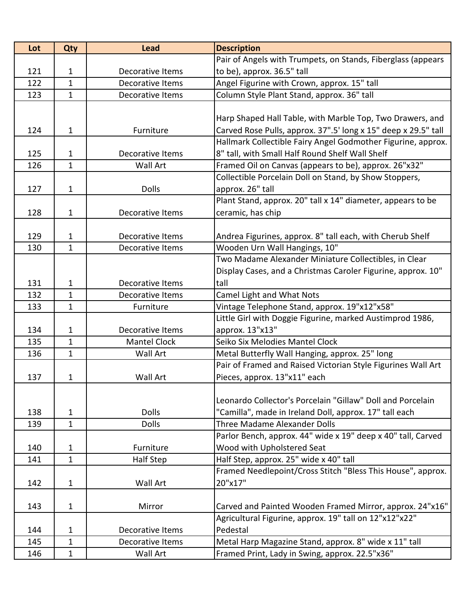| Lot | Qty          | <b>Lead</b>             | <b>Description</b>                                             |
|-----|--------------|-------------------------|----------------------------------------------------------------|
|     |              |                         | Pair of Angels with Trumpets, on Stands, Fiberglass (appears   |
| 121 | 1            | Decorative Items        | to be), approx. 36.5" tall                                     |
| 122 | $\mathbf{1}$ | Decorative Items        | Angel Figurine with Crown, approx. 15" tall                    |
| 123 | $\mathbf{1}$ | Decorative Items        | Column Style Plant Stand, approx. 36" tall                     |
|     |              |                         |                                                                |
|     |              |                         | Harp Shaped Hall Table, with Marble Top, Two Drawers, and      |
| 124 | $\mathbf{1}$ | Furniture               | Carved Rose Pulls, approx. 37".5' long x 15" deep x 29.5" tall |
|     |              |                         | Hallmark Collectible Fairy Angel Godmother Figurine, approx.   |
| 125 | 1            | Decorative Items        | 8" tall, with Small Half Round Shelf Wall Shelf                |
| 126 | $\mathbf{1}$ | <b>Wall Art</b>         | Framed Oil on Canvas (appears to be), approx. 26"x32"          |
|     |              |                         | Collectible Porcelain Doll on Stand, by Show Stoppers,         |
| 127 | $\mathbf{1}$ | <b>Dolls</b>            | approx. 26" tall                                               |
|     |              |                         | Plant Stand, approx. 20" tall x 14" diameter, appears to be    |
| 128 | $\mathbf{1}$ | Decorative Items        | ceramic, has chip                                              |
|     |              |                         |                                                                |
| 129 | 1            | Decorative Items        | Andrea Figurines, approx. 8" tall each, with Cherub Shelf      |
| 130 | $\mathbf{1}$ | <b>Decorative Items</b> | Wooden Urn Wall Hangings, 10"                                  |
|     |              |                         | Two Madame Alexander Miniature Collectibles, in Clear          |
|     |              |                         | Display Cases, and a Christmas Caroler Figurine, approx. 10"   |
| 131 | 1            | <b>Decorative Items</b> | tall                                                           |
| 132 | $\mathbf{1}$ | Decorative Items        | Camel Light and What Nots                                      |
| 133 | $\mathbf{1}$ | Furniture               | Vintage Telephone Stand, approx. 19"x12"x58"                   |
|     |              |                         | Little Girl with Doggie Figurine, marked Austimprod 1986,      |
| 134 | $\mathbf{1}$ | Decorative Items        | approx. 13"x13"                                                |
| 135 | $\mathbf{1}$ | <b>Mantel Clock</b>     | Seiko Six Melodies Mantel Clock                                |
| 136 | $\mathbf 1$  | <b>Wall Art</b>         | Metal Butterfly Wall Hanging, approx. 25" long                 |
|     |              |                         | Pair of Framed and Raised Victorian Style Figurines Wall Art   |
| 137 | 1            | <b>Wall Art</b>         | Pieces, approx. 13"x11" each                                   |
|     |              |                         |                                                                |
|     |              |                         | Leonardo Collector's Porcelain "Gillaw" Doll and Porcelain     |
| 138 | $\mathbf{1}$ | <b>Dolls</b>            | "Camilla", made in Ireland Doll, approx. 17" tall each         |
| 139 | $\mathbf{1}$ | <b>Dolls</b>            | Three Madame Alexander Dolls                                   |
|     |              |                         | Parlor Bench, approx. 44" wide x 19" deep x 40" tall, Carved   |
| 140 | $\mathbf{1}$ | Furniture               | Wood with Upholstered Seat                                     |
| 141 | $\mathbf{1}$ | <b>Half Step</b>        | Half Step, approx. 25" wide x 40" tall                         |
|     |              |                         | Framed Needlepoint/Cross Stitch "Bless This House", approx.    |
| 142 | $\mathbf{1}$ | Wall Art                | 20"x17"                                                        |
|     |              |                         |                                                                |
| 143 | $\mathbf{1}$ | Mirror                  | Carved and Painted Wooden Framed Mirror, approx. 24"x16"       |
|     |              |                         | Agricultural Figurine, approx. 19" tall on 12"x12"x22"         |
| 144 | $\mathbf{1}$ | Decorative Items        | Pedestal                                                       |
| 145 | 1            | Decorative Items        | Metal Harp Magazine Stand, approx. 8" wide x 11" tall          |
| 146 | $\mathbf{1}$ | Wall Art                | Framed Print, Lady in Swing, approx. 22.5"x36"                 |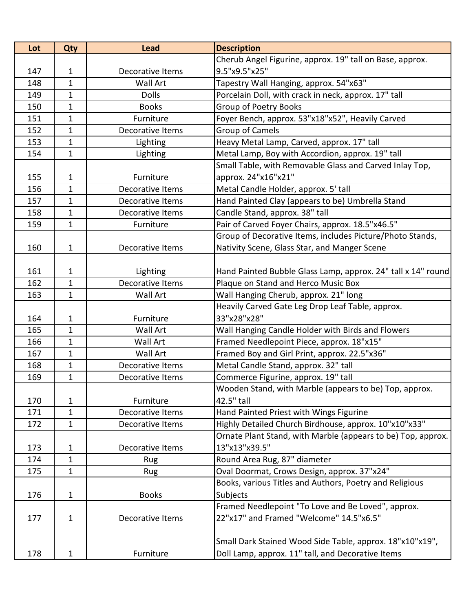| Lot | Qty          | <b>Lead</b>      | <b>Description</b>                                           |
|-----|--------------|------------------|--------------------------------------------------------------|
|     |              |                  | Cherub Angel Figurine, approx. 19" tall on Base, approx.     |
| 147 | 1            | Decorative Items | 9.5"x9.5"x25"                                                |
| 148 | 1            | Wall Art         | Tapestry Wall Hanging, approx. 54"x63"                       |
| 149 | $\mathbf{1}$ | <b>Dolls</b>     | Porcelain Doll, with crack in neck, approx. 17" tall         |
| 150 | 1            | <b>Books</b>     | <b>Group of Poetry Books</b>                                 |
| 151 | $\mathbf{1}$ | Furniture        | Foyer Bench, approx. 53"x18"x52", Heavily Carved             |
| 152 | 1            | Decorative Items | <b>Group of Camels</b>                                       |
| 153 | $\mathbf{1}$ | Lighting         | Heavy Metal Lamp, Carved, approx. 17" tall                   |
| 154 | $\mathbf{1}$ | Lighting         | Metal Lamp, Boy with Accordion, approx. 19" tall             |
|     |              |                  | Small Table, with Removable Glass and Carved Inlay Top,      |
| 155 | 1            | Furniture        | approx. 24"x16"x21"                                          |
| 156 | $\mathbf{1}$ | Decorative Items | Metal Candle Holder, approx. 5' tall                         |
| 157 | 1            | Decorative Items | Hand Painted Clay (appears to be) Umbrella Stand             |
| 158 | $\mathbf 1$  | Decorative Items | Candle Stand, approx. 38" tall                               |
| 159 | $\mathbf{1}$ | Furniture        | Pair of Carved Foyer Chairs, approx. 18.5"x46.5"             |
|     |              |                  | Group of Decorative Items, includes Picture/Photo Stands,    |
| 160 | $\mathbf{1}$ | Decorative Items | Nativity Scene, Glass Star, and Manger Scene                 |
|     |              |                  |                                                              |
| 161 | 1            | Lighting         | Hand Painted Bubble Glass Lamp, approx. 24" tall x 14" round |
| 162 | $\mathbf{1}$ | Decorative Items | Plaque on Stand and Herco Music Box                          |
| 163 | $\mathbf{1}$ | Wall Art         | Wall Hanging Cherub, approx. 21" long                        |
|     |              |                  | Heavily Carved Gate Leg Drop Leaf Table, approx.             |
| 164 | 1            | Furniture        | 33"x28"x28"                                                  |
| 165 | $\mathbf{1}$ | Wall Art         | Wall Hanging Candle Holder with Birds and Flowers            |
| 166 | $\mathbf{1}$ | Wall Art         | Framed Needlepoint Piece, approx. 18"x15"                    |
| 167 | 1            | <b>Wall Art</b>  | Framed Boy and Girl Print, approx. 22.5"x36"                 |
| 168 | $\mathbf{1}$ | Decorative Items | Metal Candle Stand, approx. 32" tall                         |
| 169 | $\mathbf{1}$ | Decorative Items | Commerce Figurine, approx. 19" tall                          |
|     |              |                  | Wooden Stand, with Marble (appears to be) Top, approx.       |
| 170 | $\mathbf 1$  | Furniture        | 42.5" tall                                                   |
| 171 | 1            | Decorative Items | Hand Painted Priest with Wings Figurine                      |
| 172 | $\mathbf{1}$ | Decorative Items | Highly Detailed Church Birdhouse, approx. 10"x10"x33"        |
|     |              |                  | Ornate Plant Stand, with Marble (appears to be) Top, approx. |
| 173 | 1            | Decorative Items | 13"x13"x39.5"                                                |
| 174 | $\mathbf{1}$ | Rug              | Round Area Rug, 87" diameter                                 |
| 175 | 1            | Rug              | Oval Doormat, Crows Design, approx. 37"x24"                  |
|     |              |                  | Books, various Titles and Authors, Poetry and Religious      |
| 176 | 1            | <b>Books</b>     | Subjects                                                     |
|     |              |                  | Framed Needlepoint "To Love and Be Loved", approx.           |
| 177 | 1            | Decorative Items | 22"x17" and Framed "Welcome" 14.5"x6.5"                      |
|     |              |                  |                                                              |
|     |              |                  | Small Dark Stained Wood Side Table, approx. 18"x10"x19",     |
| 178 | 1            | Furniture        | Doll Lamp, approx. 11" tall, and Decorative Items            |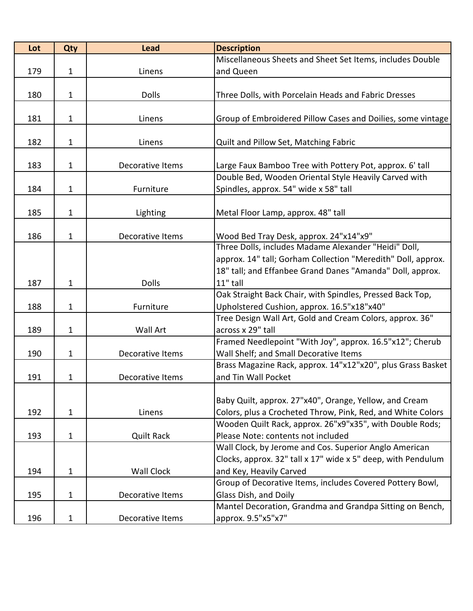| Lot | Qty          | <b>Lead</b>       | <b>Description</b>                                                                                                      |
|-----|--------------|-------------------|-------------------------------------------------------------------------------------------------------------------------|
|     |              |                   | Miscellaneous Sheets and Sheet Set Items, includes Double                                                               |
| 179 | $\mathbf{1}$ | Linens            | and Queen                                                                                                               |
|     |              |                   |                                                                                                                         |
| 180 | $\mathbf{1}$ | <b>Dolls</b>      | Three Dolls, with Porcelain Heads and Fabric Dresses                                                                    |
|     |              |                   |                                                                                                                         |
| 181 | $\mathbf{1}$ | Linens            | Group of Embroidered Pillow Cases and Doilies, some vintage                                                             |
|     |              |                   |                                                                                                                         |
| 182 | $\mathbf{1}$ | Linens            | Quilt and Pillow Set, Matching Fabric                                                                                   |
|     |              |                   |                                                                                                                         |
| 183 | $\mathbf{1}$ | Decorative Items  | Large Faux Bamboo Tree with Pottery Pot, approx. 6' tall                                                                |
|     |              |                   | Double Bed, Wooden Oriental Style Heavily Carved with                                                                   |
| 184 | $\mathbf{1}$ | Furniture         | Spindles, approx. 54" wide x 58" tall                                                                                   |
|     |              |                   |                                                                                                                         |
| 185 | 1            | Lighting          | Metal Floor Lamp, approx. 48" tall                                                                                      |
|     |              |                   |                                                                                                                         |
| 186 | $\mathbf{1}$ | Decorative Items  | Wood Bed Tray Desk, approx. 24"x14"x9"                                                                                  |
|     |              |                   | Three Dolls, includes Madame Alexander "Heidi" Doll,                                                                    |
|     |              |                   | approx. 14" tall; Gorham Collection "Meredith" Doll, approx.                                                            |
|     |              |                   | 18" tall; and Effanbee Grand Danes "Amanda" Doll, approx.                                                               |
| 187 | $\mathbf{1}$ | <b>Dolls</b>      | 11" tall                                                                                                                |
|     |              |                   | Oak Straight Back Chair, with Spindles, Pressed Back Top,                                                               |
| 188 | $\mathbf{1}$ | Furniture         | Upholstered Cushion, approx. 16.5"x18"x40"                                                                              |
|     |              |                   | Tree Design Wall Art, Gold and Cream Colors, approx. 36"                                                                |
| 189 | $\mathbf{1}$ | Wall Art          | across x 29" tall                                                                                                       |
|     |              |                   | Framed Needlepoint "With Joy", approx. 16.5"x12"; Cherub                                                                |
| 190 | 1            | Decorative Items  | Wall Shelf; and Small Decorative Items                                                                                  |
|     |              |                   | Brass Magazine Rack, approx. 14"x12"x20", plus Grass Basket                                                             |
| 191 | 1            | Decorative Items  | and Tin Wall Pocket                                                                                                     |
|     |              |                   |                                                                                                                         |
|     |              |                   | Baby Quilt, approx. 27"x40", Orange, Yellow, and Cream                                                                  |
| 192 | $\mathbf{1}$ | Linens            | Colors, plus a Crocheted Throw, Pink, Red, and White Colors<br>Wooden Quilt Rack, approx. 26"x9"x35", with Double Rods; |
| 193 | $\mathbf{1}$ | <b>Quilt Rack</b> | Please Note: contents not included                                                                                      |
|     |              |                   | Wall Clock, by Jerome and Cos. Superior Anglo American                                                                  |
|     |              |                   | Clocks, approx. 32" tall x 17" wide x 5" deep, with Pendulum                                                            |
| 194 | $\mathbf{1}$ | Wall Clock        | and Key, Heavily Carved                                                                                                 |
|     |              |                   | Group of Decorative Items, includes Covered Pottery Bowl,                                                               |
| 195 | $\mathbf{1}$ | Decorative Items  | Glass Dish, and Doily                                                                                                   |
|     |              |                   | Mantel Decoration, Grandma and Grandpa Sitting on Bench,                                                                |
|     |              |                   |                                                                                                                         |
| 196 | $\mathbf{1}$ | Decorative Items  | approx. 9.5"x5"x7"                                                                                                      |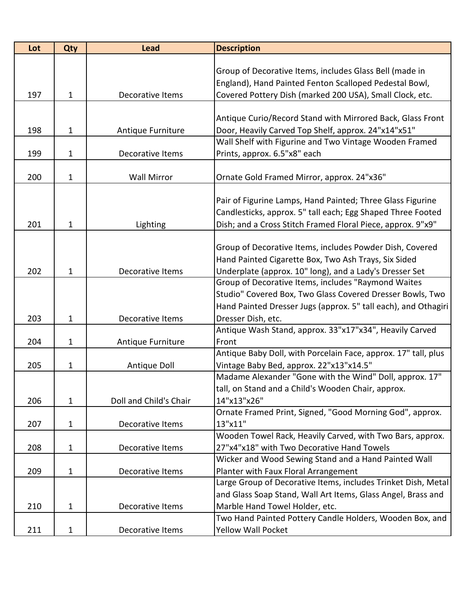| Lot | Qty          | <b>Lead</b>            | <b>Description</b>                                             |
|-----|--------------|------------------------|----------------------------------------------------------------|
|     |              |                        |                                                                |
|     |              |                        | Group of Decorative Items, includes Glass Bell (made in        |
|     |              |                        | England), Hand Painted Fenton Scalloped Pedestal Bowl,         |
| 197 | $\mathbf{1}$ | Decorative Items       | Covered Pottery Dish (marked 200 USA), Small Clock, etc.       |
|     |              |                        |                                                                |
|     |              |                        | Antique Curio/Record Stand with Mirrored Back, Glass Front     |
| 198 | $\mathbf{1}$ | Antique Furniture      | Door, Heavily Carved Top Shelf, approx. 24"x14"x51"            |
|     |              |                        | Wall Shelf with Figurine and Two Vintage Wooden Framed         |
| 199 | $\mathbf{1}$ | Decorative Items       | Prints, approx. 6.5"x8" each                                   |
|     |              |                        |                                                                |
| 200 | $\mathbf{1}$ | <b>Wall Mirror</b>     | Ornate Gold Framed Mirror, approx. 24"x36"                     |
|     |              |                        | Pair of Figurine Lamps, Hand Painted; Three Glass Figurine     |
|     |              |                        | Candlesticks, approx. 5" tall each; Egg Shaped Three Footed    |
| 201 | 1            |                        | Dish; and a Cross Stitch Framed Floral Piece, approx. 9"x9"    |
|     |              | Lighting               |                                                                |
|     |              |                        | Group of Decorative Items, includes Powder Dish, Covered       |
|     |              |                        | Hand Painted Cigarette Box, Two Ash Trays, Six Sided           |
| 202 | $\mathbf{1}$ | Decorative Items       | Underplate (approx. 10" long), and a Lady's Dresser Set        |
|     |              |                        | Group of Decorative Items, includes "Raymond Waites            |
|     |              |                        | Studio" Covered Box, Two Glass Covered Dresser Bowls, Two      |
|     |              |                        | Hand Painted Dresser Jugs (approx. 5" tall each), and Othagiri |
| 203 | $\mathbf{1}$ | Decorative Items       | Dresser Dish, etc.                                             |
|     |              |                        | Antique Wash Stand, approx. 33"x17"x34", Heavily Carved        |
| 204 | 1            | Antique Furniture      | Front                                                          |
|     |              |                        | Antique Baby Doll, with Porcelain Face, approx. 17" tall, plus |
| 205 | $\mathbf{1}$ | Antique Doll           | Vintage Baby Bed, approx. 22"x13"x14.5"                        |
|     |              |                        | Madame Alexander "Gone with the Wind" Doll, approx. 17"        |
|     |              |                        | tall, on Stand and a Child's Wooden Chair, approx.             |
| 206 | 1            | Doll and Child's Chair | 14"x13"x26"                                                    |
|     |              |                        | Ornate Framed Print, Signed, "Good Morning God", approx.       |
| 207 | $\mathbf{1}$ | Decorative Items       | 13"x11"                                                        |
|     |              |                        | Wooden Towel Rack, Heavily Carved, with Two Bars, approx.      |
| 208 | $\mathbf{1}$ | Decorative Items       | 27"x4"x18" with Two Decorative Hand Towels                     |
|     |              |                        | Wicker and Wood Sewing Stand and a Hand Painted Wall           |
| 209 | 1            | Decorative Items       | Planter with Faux Floral Arrangement                           |
|     |              |                        | Large Group of Decorative Items, includes Trinket Dish, Metal  |
|     |              |                        | and Glass Soap Stand, Wall Art Items, Glass Angel, Brass and   |
| 210 | 1            | Decorative Items       | Marble Hand Towel Holder, etc.                                 |
|     |              |                        | Two Hand Painted Pottery Candle Holders, Wooden Box, and       |
| 211 | $\mathbf{1}$ | Decorative Items       | <b>Yellow Wall Pocket</b>                                      |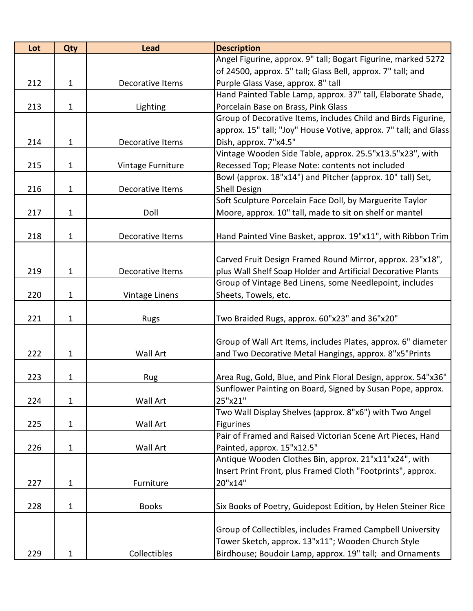| 212<br>213        | $\mathbf{1}$<br>1      | Decorative Items                             | Angel Figurine, approx. 9" tall; Bogart Figurine, marked 5272<br>of 24500, approx. 5" tall; Glass Bell, approx. 7" tall; and                                                                                                                                                                                                                                                                                     |
|-------------------|------------------------|----------------------------------------------|------------------------------------------------------------------------------------------------------------------------------------------------------------------------------------------------------------------------------------------------------------------------------------------------------------------------------------------------------------------------------------------------------------------|
|                   |                        |                                              |                                                                                                                                                                                                                                                                                                                                                                                                                  |
|                   |                        |                                              |                                                                                                                                                                                                                                                                                                                                                                                                                  |
|                   |                        |                                              | Purple Glass Vase, approx. 8" tall                                                                                                                                                                                                                                                                                                                                                                               |
|                   |                        |                                              | Hand Painted Table Lamp, approx. 37" tall, Elaborate Shade,                                                                                                                                                                                                                                                                                                                                                      |
|                   |                        | Lighting                                     | Porcelain Base on Brass, Pink Glass                                                                                                                                                                                                                                                                                                                                                                              |
|                   |                        |                                              | Group of Decorative Items, includes Child and Birds Figurine,                                                                                                                                                                                                                                                                                                                                                    |
|                   |                        |                                              | approx. 15" tall; "Joy" House Votive, approx. 7" tall; and Glass                                                                                                                                                                                                                                                                                                                                                 |
| 214               | 1                      | Decorative Items                             | Dish, approx. 7"x4.5"                                                                                                                                                                                                                                                                                                                                                                                            |
|                   |                        |                                              | Vintage Wooden Side Table, approx. 25.5"x13.5"x23", with                                                                                                                                                                                                                                                                                                                                                         |
| 215               | $\mathbf{1}$           | Vintage Furniture                            | Recessed Top; Please Note: contents not included                                                                                                                                                                                                                                                                                                                                                                 |
|                   |                        |                                              | Bowl (approx. 18"x14") and Pitcher (approx. 10" tall) Set,                                                                                                                                                                                                                                                                                                                                                       |
| 216               | $\mathbf{1}$           | Decorative Items                             | Shell Design                                                                                                                                                                                                                                                                                                                                                                                                     |
|                   |                        |                                              | Soft Sculpture Porcelain Face Doll, by Marguerite Taylor                                                                                                                                                                                                                                                                                                                                                         |
| 217               | 1                      | Doll                                         | Moore, approx. 10" tall, made to sit on shelf or mantel                                                                                                                                                                                                                                                                                                                                                          |
|                   |                        |                                              |                                                                                                                                                                                                                                                                                                                                                                                                                  |
| 218               | 1                      | Decorative Items                             | Hand Painted Vine Basket, approx. 19"x11", with Ribbon Trim                                                                                                                                                                                                                                                                                                                                                      |
|                   |                        |                                              |                                                                                                                                                                                                                                                                                                                                                                                                                  |
|                   |                        |                                              | Carved Fruit Design Framed Round Mirror, approx. 23"x18",                                                                                                                                                                                                                                                                                                                                                        |
| 219               | 1                      | Decorative Items                             | plus Wall Shelf Soap Holder and Artificial Decorative Plants                                                                                                                                                                                                                                                                                                                                                     |
|                   |                        |                                              | Group of Vintage Bed Linens, some Needlepoint, includes                                                                                                                                                                                                                                                                                                                                                          |
| 220               | $\mathbf{1}$           | Vintage Linens                               | Sheets, Towels, etc.                                                                                                                                                                                                                                                                                                                                                                                             |
|                   |                        |                                              |                                                                                                                                                                                                                                                                                                                                                                                                                  |
| 221               | $\mathbf{1}$           | <b>Rugs</b>                                  | Two Braided Rugs, approx. 60"x23" and 36"x20"                                                                                                                                                                                                                                                                                                                                                                    |
|                   |                        |                                              |                                                                                                                                                                                                                                                                                                                                                                                                                  |
|                   |                        |                                              | Group of Wall Art Items, includes Plates, approx. 6" diameter                                                                                                                                                                                                                                                                                                                                                    |
| 222               | $\mathbf 1$            | Wall Art                                     | and Two Decorative Metal Hangings, approx. 8"x5"Prints                                                                                                                                                                                                                                                                                                                                                           |
|                   |                        |                                              |                                                                                                                                                                                                                                                                                                                                                                                                                  |
| 223               | 1                      | Rug                                          | Area Rug, Gold, Blue, and Pink Floral Design, approx. 54"x36"                                                                                                                                                                                                                                                                                                                                                    |
|                   |                        |                                              | Sunflower Painting on Board, Signed by Susan Pope, approx.                                                                                                                                                                                                                                                                                                                                                       |
| 224               | $\mathbf{1}$           | Wall Art                                     | 25"x21"                                                                                                                                                                                                                                                                                                                                                                                                          |
|                   |                        |                                              | Two Wall Display Shelves (approx. 8"x6") with Two Angel                                                                                                                                                                                                                                                                                                                                                          |
| 225               | 1                      | <b>Wall Art</b>                              | Figurines                                                                                                                                                                                                                                                                                                                                                                                                        |
|                   |                        |                                              |                                                                                                                                                                                                                                                                                                                                                                                                                  |
|                   |                        |                                              |                                                                                                                                                                                                                                                                                                                                                                                                                  |
|                   |                        |                                              |                                                                                                                                                                                                                                                                                                                                                                                                                  |
|                   |                        |                                              |                                                                                                                                                                                                                                                                                                                                                                                                                  |
|                   |                        |                                              |                                                                                                                                                                                                                                                                                                                                                                                                                  |
|                   |                        |                                              |                                                                                                                                                                                                                                                                                                                                                                                                                  |
|                   |                        |                                              |                                                                                                                                                                                                                                                                                                                                                                                                                  |
|                   |                        |                                              |                                                                                                                                                                                                                                                                                                                                                                                                                  |
|                   |                        |                                              |                                                                                                                                                                                                                                                                                                                                                                                                                  |
| 229               | 1                      | Collectibles                                 | Birdhouse; Boudoir Lamp, approx. 19" tall; and Ornaments                                                                                                                                                                                                                                                                                                                                                         |
| 226<br>227<br>228 | $\mathbf{1}$<br>1<br>1 | <b>Wall Art</b><br>Furniture<br><b>Books</b> | Pair of Framed and Raised Victorian Scene Art Pieces, Hand<br>Painted, approx. 15"x12.5"<br>Antique Wooden Clothes Bin, approx. 21"x11"x24", with<br>Insert Print Front, plus Framed Cloth "Footprints", approx.<br>20"x14"<br>Six Books of Poetry, Guidepost Edition, by Helen Steiner Rice<br>Group of Collectibles, includes Framed Campbell University<br>Tower Sketch, approx. 13"x11"; Wooden Church Style |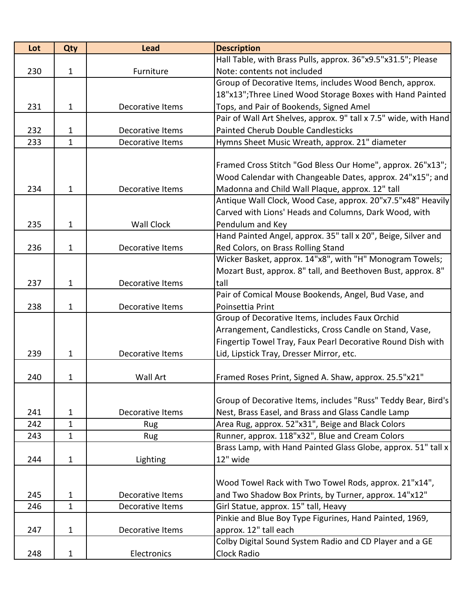| Lot | Qty          | <b>Lead</b>       | <b>Description</b>                                                                |
|-----|--------------|-------------------|-----------------------------------------------------------------------------------|
|     |              |                   | Hall Table, with Brass Pulls, approx. 36"x9.5"x31.5"; Please                      |
| 230 | $\mathbf{1}$ | Furniture         | Note: contents not included                                                       |
|     |              |                   | Group of Decorative Items, includes Wood Bench, approx.                           |
|     |              |                   | 18"x13"; Three Lined Wood Storage Boxes with Hand Painted                         |
| 231 | $\mathbf{1}$ | Decorative Items  | Tops, and Pair of Bookends, Signed Amel                                           |
|     |              |                   | Pair of Wall Art Shelves, approx. 9" tall x 7.5" wide, with Hand                  |
| 232 | 1            | Decorative Items  | <b>Painted Cherub Double Candlesticks</b>                                         |
| 233 | $\mathbf{1}$ | Decorative Items  | Hymns Sheet Music Wreath, approx. 21" diameter                                    |
|     |              |                   |                                                                                   |
|     |              |                   | Framed Cross Stitch "God Bless Our Home", approx. 26"x13";                        |
|     |              |                   | Wood Calendar with Changeable Dates, approx. 24"x15"; and                         |
| 234 | 1            | Decorative Items  | Madonna and Child Wall Plaque, approx. 12" tall                                   |
|     |              |                   | Antique Wall Clock, Wood Case, approx. 20"x7.5"x48" Heavily                       |
| 235 | $\mathbf{1}$ | <b>Wall Clock</b> | Carved with Lions' Heads and Columns, Dark Wood, with                             |
|     |              |                   | Pendulum and Key<br>Hand Painted Angel, approx. 35" tall x 20", Beige, Silver and |
| 236 | $\mathbf{1}$ | Decorative Items  | Red Colors, on Brass Rolling Stand                                                |
|     |              |                   | Wicker Basket, approx. 14"x8", with "H" Monogram Towels;                          |
|     |              |                   | Mozart Bust, approx. 8" tall, and Beethoven Bust, approx. 8"                      |
| 237 | $\mathbf{1}$ | Decorative Items  | tall                                                                              |
|     |              |                   | Pair of Comical Mouse Bookends, Angel, Bud Vase, and                              |
| 238 | 1            | Decorative Items  | Poinsettia Print                                                                  |
|     |              |                   | Group of Decorative Items, includes Faux Orchid                                   |
|     |              |                   | Arrangement, Candlesticks, Cross Candle on Stand, Vase,                           |
|     |              |                   | Fingertip Towel Tray, Faux Pearl Decorative Round Dish with                       |
| 239 | 1            | Decorative Items  | Lid, Lipstick Tray, Dresser Mirror, etc.                                          |
|     |              |                   |                                                                                   |
| 240 | 1            | <b>Wall Art</b>   | Framed Roses Print, Signed A. Shaw, approx. 25.5"x21"                             |
|     |              |                   |                                                                                   |
|     |              |                   | Group of Decorative Items, includes "Russ" Teddy Bear, Bird's                     |
| 241 | 1            | Decorative Items  | Nest, Brass Easel, and Brass and Glass Candle Lamp                                |
| 242 | $\mathbf 1$  | Rug               | Area Rug, approx. 52"x31", Beige and Black Colors                                 |
| 243 | 1            | Rug               | Runner, approx. 118"x32", Blue and Cream Colors                                   |
|     |              |                   | Brass Lamp, with Hand Painted Glass Globe, approx. 51" tall x                     |
| 244 | 1            | Lighting          | 12" wide                                                                          |
|     |              |                   |                                                                                   |
|     |              |                   | Wood Towel Rack with Two Towel Rods, approx. 21"x14",                             |
| 245 | 1            | Decorative Items  | and Two Shadow Box Prints, by Turner, approx. 14"x12"                             |
| 246 | $\mathbf{1}$ | Decorative Items  | Girl Statue, approx. 15" tall, Heavy                                              |
|     |              |                   | Pinkie and Blue Boy Type Figurines, Hand Painted, 1969,                           |
| 247 | $\mathbf{1}$ | Decorative Items  | approx. 12" tall each                                                             |
|     |              |                   | Colby Digital Sound System Radio and CD Player and a GE                           |
| 248 | 1            | Electronics       | Clock Radio                                                                       |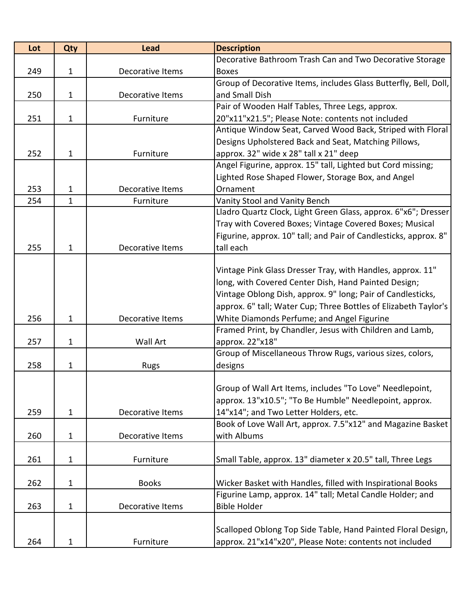| Lot | Qty          | <b>Lead</b>      | <b>Description</b>                                                                                   |
|-----|--------------|------------------|------------------------------------------------------------------------------------------------------|
|     |              |                  | Decorative Bathroom Trash Can and Two Decorative Storage                                             |
| 249 | $\mathbf{1}$ | Decorative Items | <b>Boxes</b>                                                                                         |
|     |              |                  | Group of Decorative Items, includes Glass Butterfly, Bell, Doll,                                     |
| 250 | $\mathbf{1}$ | Decorative Items | and Small Dish                                                                                       |
|     |              |                  | Pair of Wooden Half Tables, Three Legs, approx.                                                      |
| 251 | $\mathbf{1}$ | Furniture        | 20"x11"x21.5"; Please Note: contents not included                                                    |
|     |              |                  | Antique Window Seat, Carved Wood Back, Striped with Floral                                           |
|     |              |                  | Designs Upholstered Back and Seat, Matching Pillows,                                                 |
| 252 | 1            | Furniture        | approx. 32" wide x 28" tall x 21" deep                                                               |
|     |              |                  | Angel Figurine, approx. 15" tall, Lighted but Cord missing;                                          |
|     |              |                  | Lighted Rose Shaped Flower, Storage Box, and Angel                                                   |
| 253 | 1            | Decorative Items | Ornament                                                                                             |
| 254 | $\mathbf{1}$ | Furniture        | Vanity Stool and Vanity Bench                                                                        |
|     |              |                  | Lladro Quartz Clock, Light Green Glass, approx. 6"x6"; Dresser                                       |
|     |              |                  | Tray with Covered Boxes; Vintage Covered Boxes; Musical                                              |
|     |              |                  | Figurine, approx. 10" tall; and Pair of Candlesticks, approx. 8"                                     |
| 255 | 1            | Decorative Items | tall each                                                                                            |
|     |              |                  |                                                                                                      |
|     |              |                  | Vintage Pink Glass Dresser Tray, with Handles, approx. 11"                                           |
|     |              |                  | long, with Covered Center Dish, Hand Painted Design;                                                 |
|     |              |                  | Vintage Oblong Dish, approx. 9" long; Pair of Candlesticks,                                          |
|     |              |                  | approx. 6" tall; Water Cup; Three Bottles of Elizabeth Taylor's                                      |
| 256 | $\mathbf{1}$ | Decorative Items | White Diamonds Perfume; and Angel Figurine                                                           |
|     |              |                  | Framed Print, by Chandler, Jesus with Children and Lamb,                                             |
| 257 | 1            | Wall Art         | approx. 22"x18"                                                                                      |
|     |              |                  | Group of Miscellaneous Throw Rugs, various sizes, colors,                                            |
| 258 | $\mathbf{1}$ | <b>Rugs</b>      | designs                                                                                              |
|     |              |                  |                                                                                                      |
|     |              |                  | Group of Wall Art Items, includes "To Love" Needlepoint,                                             |
|     |              |                  | approx. 13"x10.5"; "To Be Humble" Needlepoint, approx.                                               |
| 259 | 1            | Decorative Items | 14"x14"; and Two Letter Holders, etc.<br>Book of Love Wall Art, approx. 7.5"x12" and Magazine Basket |
|     |              | Decorative Items | with Albums                                                                                          |
| 260 | $\mathbf{1}$ |                  |                                                                                                      |
| 261 | 1            | Furniture        | Small Table, approx. 13" diameter x 20.5" tall, Three Legs                                           |
|     |              |                  |                                                                                                      |
| 262 | 1            | <b>Books</b>     | Wicker Basket with Handles, filled with Inspirational Books                                          |
|     |              |                  | Figurine Lamp, approx. 14" tall; Metal Candle Holder; and                                            |
| 263 | $\mathbf{1}$ | Decorative Items | <b>Bible Holder</b>                                                                                  |
|     |              |                  |                                                                                                      |
|     |              |                  | Scalloped Oblong Top Side Table, Hand Painted Floral Design,                                         |
| 264 | 1            | Furniture        | approx. 21"x14"x20", Please Note: contents not included                                              |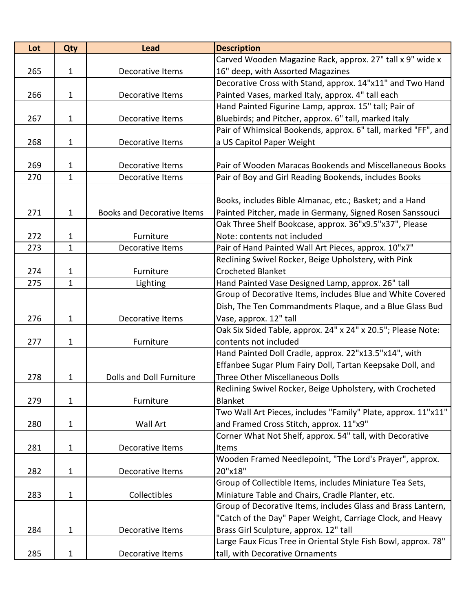| Lot | Qty          | <b>Lead</b>                       | <b>Description</b>                                             |
|-----|--------------|-----------------------------------|----------------------------------------------------------------|
|     |              |                                   | Carved Wooden Magazine Rack, approx. 27" tall x 9" wide x      |
| 265 | $\mathbf{1}$ | Decorative Items                  | 16" deep, with Assorted Magazines                              |
|     |              |                                   | Decorative Cross with Stand, approx. 14"x11" and Two Hand      |
| 266 | $\mathbf{1}$ | Decorative Items                  | Painted Vases, marked Italy, approx. 4" tall each              |
|     |              |                                   | Hand Painted Figurine Lamp, approx. 15" tall; Pair of          |
| 267 | $\mathbf{1}$ | Decorative Items                  | Bluebirds; and Pitcher, approx. 6" tall, marked Italy          |
|     |              |                                   | Pair of Whimsical Bookends, approx. 6" tall, marked "FF", and  |
| 268 | $\mathbf{1}$ | Decorative Items                  | a US Capitol Paper Weight                                      |
|     |              |                                   |                                                                |
| 269 | 1            | Decorative Items                  | Pair of Wooden Maracas Bookends and Miscellaneous Books        |
| 270 | $\mathbf{1}$ | Decorative Items                  | Pair of Boy and Girl Reading Bookends, includes Books          |
|     |              |                                   |                                                                |
|     |              |                                   | Books, includes Bible Almanac, etc.; Basket; and a Hand        |
| 271 | 1            | <b>Books and Decorative Items</b> | Painted Pitcher, made in Germany, Signed Rosen Sanssouci       |
|     |              |                                   | Oak Three Shelf Bookcase, approx. 36"x9.5"x37", Please         |
| 272 | 1            | Furniture                         | Note: contents not included                                    |
| 273 | $\mathbf{1}$ | Decorative Items                  | Pair of Hand Painted Wall Art Pieces, approx. 10"x7"           |
|     |              |                                   | Reclining Swivel Rocker, Beige Upholstery, with Pink           |
| 274 | 1            | Furniture                         | <b>Crocheted Blanket</b>                                       |
| 275 | 1            | Lighting                          | Hand Painted Vase Designed Lamp, approx. 26" tall              |
|     |              |                                   | Group of Decorative Items, includes Blue and White Covered     |
|     |              |                                   | Dish, The Ten Commandments Plaque, and a Blue Glass Bud        |
| 276 | $\mathbf{1}$ | Decorative Items                  | Vase, approx. 12" tall                                         |
|     |              |                                   | Oak Six Sided Table, approx. 24" x 24" x 20.5"; Please Note:   |
| 277 | 1            | Furniture                         | contents not included                                          |
|     |              |                                   | Hand Painted Doll Cradle, approx. 22"x13.5"x14", with          |
|     |              |                                   | Effanbee Sugar Plum Fairy Doll, Tartan Keepsake Doll, and      |
| 278 | 1            | Dolls and Doll Furniture          | <b>Three Other Miscellaneous Dolls</b>                         |
|     |              |                                   | Reclining Swivel Rocker, Beige Upholstery, with Crocheted      |
| 279 | 1            | Furniture                         | Blanket                                                        |
|     |              |                                   | Two Wall Art Pieces, includes "Family" Plate, approx. 11"x11"  |
| 280 | $\mathbf{1}$ | Wall Art                          | and Framed Cross Stitch, approx. 11"x9"                        |
|     |              |                                   | Corner What Not Shelf, approx. 54" tall, with Decorative       |
| 281 | $\mathbf{1}$ | Decorative Items                  | Items                                                          |
|     |              |                                   | Wooden Framed Needlepoint, "The Lord's Prayer", approx.        |
| 282 | $\mathbf{1}$ | Decorative Items                  | 20"x18"                                                        |
|     |              |                                   | Group of Collectible Items, includes Miniature Tea Sets,       |
| 283 | $\mathbf{1}$ | Collectibles                      | Miniature Table and Chairs, Cradle Planter, etc.               |
|     |              |                                   | Group of Decorative Items, includes Glass and Brass Lantern,   |
|     |              |                                   | "Catch of the Day" Paper Weight, Carriage Clock, and Heavy     |
| 284 | $\mathbf{1}$ | Decorative Items                  | Brass Girl Sculpture, approx. 12" tall                         |
|     |              |                                   | Large Faux Ficus Tree in Oriental Style Fish Bowl, approx. 78" |
| 285 | 1            | Decorative Items                  | tall, with Decorative Ornaments                                |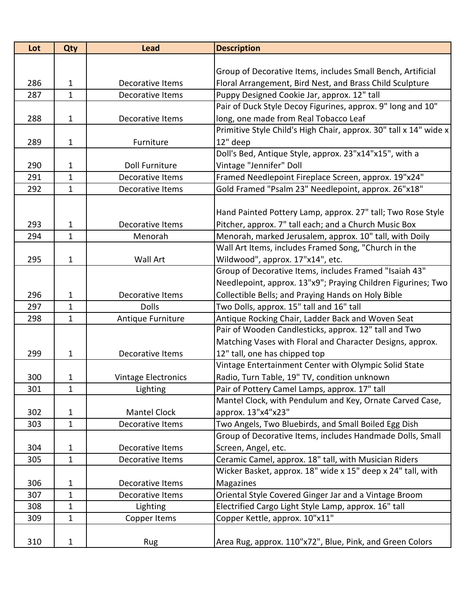| Lot | Qty          | <b>Lead</b>           | <b>Description</b>                                                |
|-----|--------------|-----------------------|-------------------------------------------------------------------|
|     |              |                       |                                                                   |
|     |              |                       | Group of Decorative Items, includes Small Bench, Artificial       |
| 286 | $\mathbf{1}$ | Decorative Items      | Floral Arrangement, Bird Nest, and Brass Child Sculpture          |
| 287 | $\mathbf 1$  | Decorative Items      | Puppy Designed Cookie Jar, approx. 12" tall                       |
|     |              |                       | Pair of Duck Style Decoy Figurines, approx. 9" long and 10"       |
| 288 | $\mathbf{1}$ | Decorative Items      | long, one made from Real Tobacco Leaf                             |
|     |              |                       | Primitive Style Child's High Chair, approx. 30" tall x 14" wide x |
| 289 | $\mathbf 1$  | Furniture             | 12" deep                                                          |
|     |              |                       | Doll's Bed, Antique Style, approx. 23"x14"x15", with a            |
| 290 | 1            | <b>Doll Furniture</b> | Vintage "Jennifer" Doll                                           |
| 291 | $\mathbf{1}$ | Decorative Items      | Framed Needlepoint Fireplace Screen, approx. 19"x24"              |
| 292 | $\mathbf{1}$ | Decorative Items      | Gold Framed "Psalm 23" Needlepoint, approx. 26"x18"               |
|     |              |                       |                                                                   |
|     |              |                       | Hand Painted Pottery Lamp, approx. 27" tall; Two Rose Style       |
| 293 | 1            | Decorative Items      | Pitcher, approx. 7" tall each; and a Church Music Box             |
| 294 | $\mathbf{1}$ | Menorah               | Menorah, marked Jerusalem, approx. 10" tall, with Doily           |
|     |              |                       | Wall Art Items, includes Framed Song, "Church in the              |
| 295 | $\mathbf 1$  | Wall Art              | Wildwood", approx. 17"x14", etc.                                  |
|     |              |                       | Group of Decorative Items, includes Framed "Isaiah 43"            |
|     |              |                       | Needlepoint, approx. 13"x9"; Praying Children Figurines; Two      |
| 296 | $\mathbf 1$  | Decorative Items      | Collectible Bells; and Praying Hands on Holy Bible                |
| 297 | 1            | <b>Dolls</b>          | Two Dolls, approx. 15" tall and 16" tall                          |
| 298 | $\mathbf{1}$ | Antique Furniture     | Antique Rocking Chair, Ladder Back and Woven Seat                 |
|     |              |                       | Pair of Wooden Candlesticks, approx. 12" tall and Two             |
|     |              |                       | Matching Vases with Floral and Character Designs, approx.         |
| 299 | $\mathbf 1$  | Decorative Items      | 12" tall, one has chipped top                                     |
|     |              |                       | Vintage Entertainment Center with Olympic Solid State             |
| 300 | 1            | Vintage Electronics   | Radio, Turn Table, 19" TV, condition unknown                      |
| 301 | 1            | Lighting              | Pair of Pottery Camel Lamps, approx. 17" tall                     |
|     |              |                       | Mantel Clock, with Pendulum and Key, Ornate Carved Case,          |
| 302 | 1            | <b>Mantel Clock</b>   | approx. 13"x4"x23"                                                |
| 303 | $\mathbf{1}$ | Decorative Items      | Two Angels, Two Bluebirds, and Small Boiled Egg Dish              |
|     |              |                       | Group of Decorative Items, includes Handmade Dolls, Small         |
| 304 | $\mathbf{1}$ | Decorative Items      | Screen, Angel, etc.                                               |
| 305 | $\mathbf 1$  | Decorative Items      | Ceramic Camel, approx. 18" tall, with Musician Riders             |
|     |              |                       | Wicker Basket, approx. 18" wide x 15" deep x 24" tall, with       |
| 306 | 1            | Decorative Items      | Magazines                                                         |
| 307 | 1            | Decorative Items      | Oriental Style Covered Ginger Jar and a Vintage Broom             |
| 308 | $\mathbf{1}$ | Lighting              | Electrified Cargo Light Style Lamp, approx. 16" tall              |
| 309 | $\mathbf{1}$ | Copper Items          | Copper Kettle, approx. 10"x11"                                    |
|     |              |                       |                                                                   |
| 310 | $\mathbf{1}$ | Rug                   | Area Rug, approx. 110"x72", Blue, Pink, and Green Colors          |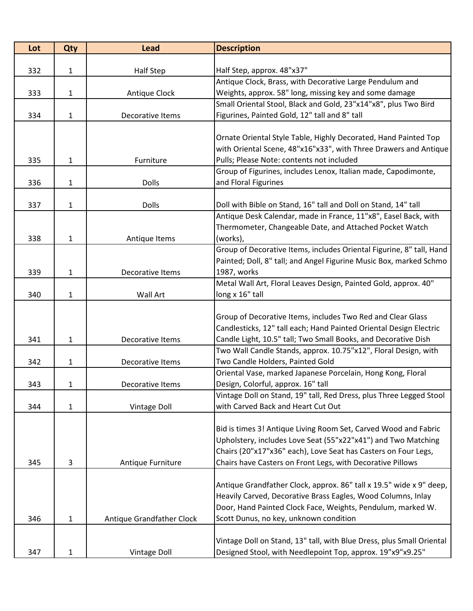| Lot | Qty          | <b>Lead</b>               | <b>Description</b>                                                    |
|-----|--------------|---------------------------|-----------------------------------------------------------------------|
|     |              |                           |                                                                       |
| 332 | 1            | <b>Half Step</b>          | Half Step, approx. 48"x37"                                            |
|     |              |                           | Antique Clock, Brass, with Decorative Large Pendulum and              |
| 333 | 1            | Antique Clock             | Weights, approx. 58" long, missing key and some damage                |
|     |              |                           | Small Oriental Stool, Black and Gold, 23"x14"x8", plus Two Bird       |
| 334 | 1            | Decorative Items          | Figurines, Painted Gold, 12" tall and 8" tall                         |
|     |              |                           |                                                                       |
|     |              |                           | Ornate Oriental Style Table, Highly Decorated, Hand Painted Top       |
|     |              |                           | with Oriental Scene, 48"x16"x33", with Three Drawers and Antique      |
| 335 | $\mathbf{1}$ | Furniture                 | Pulls; Please Note: contents not included                             |
|     |              |                           | Group of Figurines, includes Lenox, Italian made, Capodimonte,        |
| 336 | $\mathbf{1}$ | <b>Dolls</b>              | and Floral Figurines                                                  |
| 337 | 1            | <b>Dolls</b>              | Doll with Bible on Stand, 16" tall and Doll on Stand, 14" tall        |
|     |              |                           | Antique Desk Calendar, made in France, 11"x8", Easel Back, with       |
|     |              |                           | Thermometer, Changeable Date, and Attached Pocket Watch               |
| 338 | $\mathbf{1}$ | Antique Items             | (works),                                                              |
|     |              |                           | Group of Decorative Items, includes Oriental Figurine, 8" tall, Hand  |
|     |              |                           | Painted; Doll, 8" tall; and Angel Figurine Music Box, marked Schmo    |
| 339 | 1            | Decorative Items          | 1987, works                                                           |
|     |              |                           | Metal Wall Art, Floral Leaves Design, Painted Gold, approx. 40"       |
| 340 | 1            | <b>Wall Art</b>           | long x 16" tall                                                       |
|     |              |                           |                                                                       |
|     |              |                           | Group of Decorative Items, includes Two Red and Clear Glass           |
|     |              |                           | Candlesticks, 12" tall each; Hand Painted Oriental Design Electric    |
| 341 | $\mathbf{1}$ | Decorative Items          | Candle Light, 10.5" tall; Two Small Books, and Decorative Dish        |
|     |              |                           | Two Wall Candle Stands, approx. 10.75"x12", Floral Design, with       |
| 342 | 1            | Decorative Items          | Two Candle Holders, Painted Gold                                      |
|     |              |                           | Oriental Vase, marked Japanese Porcelain, Hong Kong, Floral           |
| 343 | 1            | Decorative Items          | Design, Colorful, approx. 16" tall                                    |
|     |              |                           | Vintage Doll on Stand, 19" tall, Red Dress, plus Three Legged Stool   |
| 344 | $\mathbf{1}$ | <b>Vintage Doll</b>       | with Carved Back and Heart Cut Out                                    |
|     |              |                           |                                                                       |
|     |              |                           | Bid is times 3! Antique Living Room Set, Carved Wood and Fabric       |
|     |              |                           | Upholstery, includes Love Seat (55"x22"x41") and Two Matching         |
|     |              |                           | Chairs (20"x17"x36" each), Love Seat has Casters on Four Legs,        |
| 345 | 3            | Antique Furniture         | Chairs have Casters on Front Legs, with Decorative Pillows            |
|     |              |                           |                                                                       |
|     |              |                           | Antique Grandfather Clock, approx. 86" tall x 19.5" wide x 9" deep,   |
|     |              |                           | Heavily Carved, Decorative Brass Eagles, Wood Columns, Inlay          |
|     |              |                           | Door, Hand Painted Clock Face, Weights, Pendulum, marked W.           |
| 346 | 1            | Antique Grandfather Clock | Scott Dunus, no key, unknown condition                                |
|     |              |                           | Vintage Doll on Stand, 13" tall, with Blue Dress, plus Small Oriental |
| 347 | 1            | Vintage Doll              | Designed Stool, with Needlepoint Top, approx. 19"x9"x9.25"            |
|     |              |                           |                                                                       |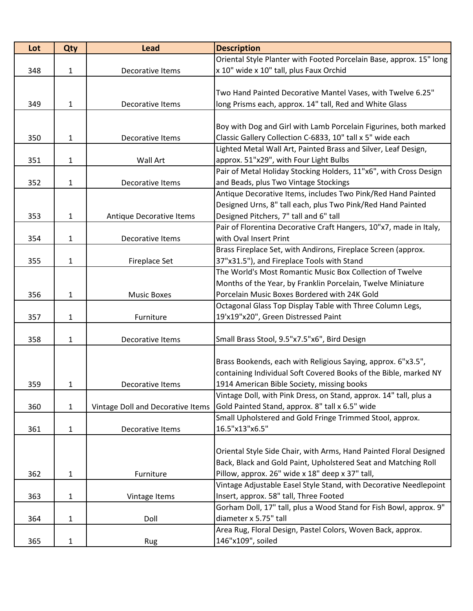| Lot | Qty          | <b>Lead</b>                       | <b>Description</b>                                                  |
|-----|--------------|-----------------------------------|---------------------------------------------------------------------|
|     |              |                                   | Oriental Style Planter with Footed Porcelain Base, approx. 15" long |
| 348 | 1            | Decorative Items                  | x 10" wide x 10" tall, plus Faux Orchid                             |
|     |              |                                   |                                                                     |
|     |              |                                   | Two Hand Painted Decorative Mantel Vases, with Twelve 6.25"         |
| 349 | $\mathbf{1}$ | Decorative Items                  | long Prisms each, approx. 14" tall, Red and White Glass             |
|     |              |                                   |                                                                     |
|     |              |                                   | Boy with Dog and Girl with Lamb Porcelain Figurines, both marked    |
| 350 | $\mathbf{1}$ | Decorative Items                  | Classic Gallery Collection C-6833, 10" tall x 5" wide each          |
|     |              |                                   | Lighted Metal Wall Art, Painted Brass and Silver, Leaf Design,      |
| 351 | $\mathbf 1$  | <b>Wall Art</b>                   | approx. 51"x29", with Four Light Bulbs                              |
|     |              |                                   | Pair of Metal Holiday Stocking Holders, 11"x6", with Cross Design   |
| 352 | $\mathbf{1}$ | Decorative Items                  | and Beads, plus Two Vintage Stockings                               |
|     |              |                                   | Antique Decorative Items, includes Two Pink/Red Hand Painted        |
|     |              |                                   | Designed Urns, 8" tall each, plus Two Pink/Red Hand Painted         |
| 353 | $\mathbf{1}$ | Antique Decorative Items          | Designed Pitchers, 7" tall and 6" tall                              |
|     |              |                                   | Pair of Florentina Decorative Craft Hangers, 10"x7, made in Italy,  |
| 354 | $\mathbf{1}$ | Decorative Items                  | with Oval Insert Print                                              |
|     |              |                                   | Brass Fireplace Set, with Andirons, Fireplace Screen (approx.       |
| 355 | 1            | <b>Fireplace Set</b>              | 37"x31.5"), and Fireplace Tools with Stand                          |
|     |              |                                   | The World's Most Romantic Music Box Collection of Twelve            |
|     |              |                                   | Months of the Year, by Franklin Porcelain, Twelve Miniature         |
| 356 | $\mathbf{1}$ | <b>Music Boxes</b>                | Porcelain Music Boxes Bordered with 24K Gold                        |
|     |              |                                   | Octagonal Glass Top Display Table with Three Column Legs,           |
| 357 | 1            | Furniture                         | 19'x19"x20", Green Distressed Paint                                 |
|     |              |                                   |                                                                     |
| 358 | 1            | Decorative Items                  | Small Brass Stool, 9.5"x7.5"x6", Bird Design                        |
|     |              |                                   |                                                                     |
|     |              |                                   | Brass Bookends, each with Religious Saying, approx. 6"x3.5",        |
|     |              |                                   | containing Individual Soft Covered Books of the Bible, marked NY    |
| 359 | 1            | Decorative Items                  | 1914 American Bible Society, missing books                          |
|     |              |                                   | Vintage Doll, with Pink Dress, on Stand, approx. 14" tall, plus a   |
| 360 | $\mathbf{1}$ | Vintage Doll and Decorative Items | Gold Painted Stand, approx. 8" tall x 6.5" wide                     |
|     |              |                                   | Small Upholstered and Gold Fringe Trimmed Stool, approx.            |
| 361 | $\mathbf{1}$ | Decorative Items                  | 16.5"x13"x6.5"                                                      |
|     |              |                                   |                                                                     |
|     |              |                                   | Oriental Style Side Chair, with Arms, Hand Painted Floral Designed  |
|     |              |                                   | Back, Black and Gold Paint, Upholstered Seat and Matching Roll      |
| 362 | 1            | Furniture                         | Pillow, approx. 26" wide x 18" deep x 37" tall,                     |
|     |              |                                   | Vintage Adjustable Easel Style Stand, with Decorative Needlepoint   |
| 363 | 1            | Vintage Items                     | Insert, approx. 58" tall, Three Footed                              |
|     |              |                                   | Gorham Doll, 17" tall, plus a Wood Stand for Fish Bowl, approx. 9"  |
| 364 | 1            | Doll                              | diameter x 5.75" tall                                               |
|     |              |                                   | Area Rug, Floral Design, Pastel Colors, Woven Back, approx.         |
| 365 | $\mathbf{1}$ | Rug                               | 146"x109", soiled                                                   |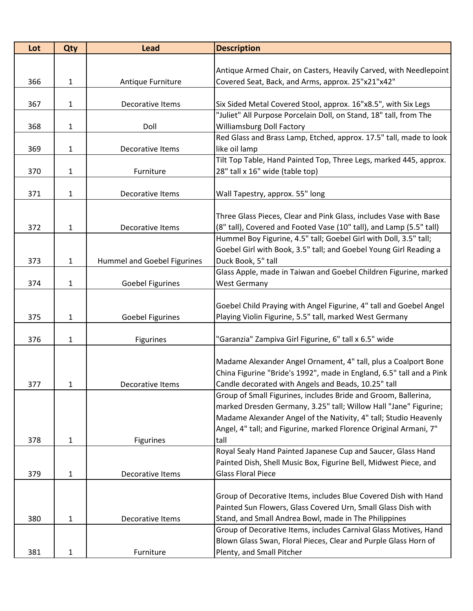| Lot | <b>Qty</b>   | <b>Lead</b>                 | <b>Description</b>                                                                 |
|-----|--------------|-----------------------------|------------------------------------------------------------------------------------|
|     |              |                             |                                                                                    |
|     |              |                             | Antique Armed Chair, on Casters, Heavily Carved, with Needlepoint                  |
| 366 | $\mathbf 1$  | Antique Furniture           | Covered Seat, Back, and Arms, approx. 25"x21"x42"                                  |
|     |              |                             |                                                                                    |
| 367 | 1            | Decorative Items            | Six Sided Metal Covered Stool, approx. 16"x8.5", with Six Legs                     |
|     |              |                             | "Juliet" All Purpose Porcelain Doll, on Stand, 18" tall, from The                  |
| 368 | 1            | Doll                        | <b>Williamsburg Doll Factory</b>                                                   |
|     |              |                             | Red Glass and Brass Lamp, Etched, approx. 17.5" tall, made to look                 |
| 369 | 1            | Decorative Items            | like oil lamp<br>Tilt Top Table, Hand Painted Top, Three Legs, marked 445, approx. |
| 370 |              | Furniture                   | 28" tall x 16" wide (table top)                                                    |
|     | 1            |                             |                                                                                    |
| 371 | 1            | Decorative Items            | Wall Tapestry, approx. 55" long                                                    |
|     |              |                             |                                                                                    |
|     |              |                             | Three Glass Pieces, Clear and Pink Glass, includes Vase with Base                  |
| 372 | 1            | Decorative Items            | (8" tall), Covered and Footed Vase (10" tall), and Lamp (5.5" tall)                |
|     |              |                             | Hummel Boy Figurine, 4.5" tall; Goebel Girl with Doll, 3.5" tall;                  |
|     |              |                             | Goebel Girl with Book, 3.5" tall; and Goebel Young Girl Reading a                  |
| 373 | 1            | Hummel and Goebel Figurines | Duck Book, 5" tall                                                                 |
|     |              |                             | Glass Apple, made in Taiwan and Goebel Children Figurine, marked                   |
| 374 | $\mathbf{1}$ | <b>Goebel Figurines</b>     | <b>West Germany</b>                                                                |
|     |              |                             |                                                                                    |
|     |              |                             | Goebel Child Praying with Angel Figurine, 4" tall and Goebel Angel                 |
| 375 | $\mathbf{1}$ | <b>Goebel Figurines</b>     | Playing Violin Figurine, 5.5" tall, marked West Germany                            |
|     |              |                             |                                                                                    |
| 376 | 1            | <b>Figurines</b>            | "Garanzia" Zampiva Girl Figurine, 6" tall x 6.5" wide                              |
|     |              |                             |                                                                                    |
|     |              |                             | Madame Alexander Angel Ornament, 4" tall, plus a Coalport Bone                     |
|     |              |                             | China Figurine "Bride's 1992", made in England, 6.5" tall and a Pink               |
| 377 | 1            | Decorative Items            | Candle decorated with Angels and Beads, 10.25" tall                                |
|     |              |                             | Group of Small Figurines, includes Bride and Groom, Ballerina,                     |
|     |              |                             | marked Dresden Germany, 3.25" tall; Willow Hall "Jane" Figurine;                   |
|     |              |                             | Madame Alexander Angel of the Nativity, 4" tall; Studio Heavenly                   |
|     |              |                             | Angel, 4" tall; and Figurine, marked Florence Original Armani, 7"                  |
| 378 | 1            | <b>Figurines</b>            | tall                                                                               |
|     |              |                             | Royal Sealy Hand Painted Japanese Cup and Saucer, Glass Hand                       |
|     |              |                             | Painted Dish, Shell Music Box, Figurine Bell, Midwest Piece, and                   |
| 379 | 1            | Decorative Items            | <b>Glass Floral Piece</b>                                                          |
|     |              |                             |                                                                                    |
|     |              |                             | Group of Decorative Items, includes Blue Covered Dish with Hand                    |
|     |              |                             | Painted Sun Flowers, Glass Covered Urn, Small Glass Dish with                      |
| 380 | 1            | Decorative Items            | Stand, and Small Andrea Bowl, made in The Philippines                              |
|     |              |                             | Group of Decorative Items, includes Carnival Glass Motives, Hand                   |
|     |              |                             | Blown Glass Swan, Floral Pieces, Clear and Purple Glass Horn of                    |
| 381 | 1            | Furniture                   | Plenty, and Small Pitcher                                                          |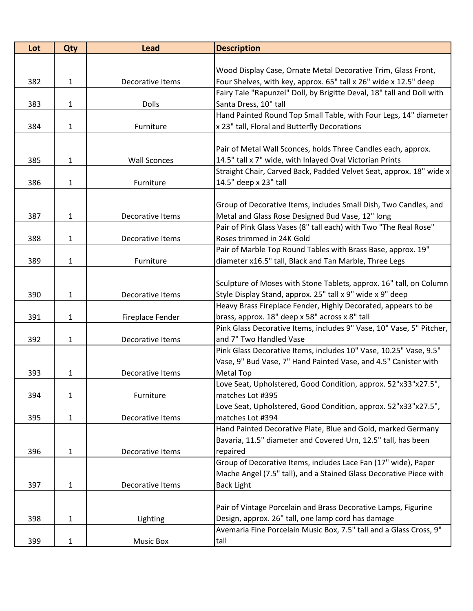| Lot | <b>Qty</b>   | <b>Lead</b>         | <b>Description</b>                                                    |
|-----|--------------|---------------------|-----------------------------------------------------------------------|
|     |              |                     |                                                                       |
|     |              |                     | Wood Display Case, Ornate Metal Decorative Trim, Glass Front,         |
| 382 | $\mathbf{1}$ | Decorative Items    | Four Shelves, with key, approx. 65" tall x 26" wide x 12.5" deep      |
|     |              |                     | Fairy Tale "Rapunzel" Doll, by Brigitte Deval, 18" tall and Doll with |
| 383 | 1            | <b>Dolls</b>        | Santa Dress, 10" tall                                                 |
|     |              |                     | Hand Painted Round Top Small Table, with Four Legs, 14" diameter      |
| 384 | 1            | Furniture           | x 23" tall, Floral and Butterfly Decorations                          |
|     |              |                     |                                                                       |
|     |              |                     | Pair of Metal Wall Sconces, holds Three Candles each, approx.         |
| 385 | 1            | <b>Wall Sconces</b> | 14.5" tall x 7" wide, with Inlayed Oval Victorian Prints              |
|     |              |                     | Straight Chair, Carved Back, Padded Velvet Seat, approx. 18" wide x   |
| 386 | 1            | Furniture           | 14.5" deep x 23" tall                                                 |
|     |              |                     |                                                                       |
|     |              |                     | Group of Decorative Items, includes Small Dish, Two Candles, and      |
| 387 | 1            | Decorative Items    | Metal and Glass Rose Designed Bud Vase, 12" long                      |
|     |              |                     | Pair of Pink Glass Vases (8" tall each) with Two "The Real Rose"      |
| 388 | $\mathbf{1}$ | Decorative Items    | Roses trimmed in 24K Gold                                             |
|     |              |                     | Pair of Marble Top Round Tables with Brass Base, approx. 19"          |
| 389 | $\mathbf{1}$ | Furniture           | diameter x16.5" tall, Black and Tan Marble, Three Legs                |
|     |              |                     |                                                                       |
|     |              |                     | Sculpture of Moses with Stone Tablets, approx. 16" tall, on Column    |
| 390 | $\mathbf{1}$ | Decorative Items    | Style Display Stand, approx. 25" tall x 9" wide x 9" deep             |
|     |              |                     | Heavy Brass Fireplace Fender, Highly Decorated, appears to be         |
| 391 | 1            | Fireplace Fender    | brass, approx. 18" deep x 58" across x 8" tall                        |
|     |              |                     | Pink Glass Decorative Items, includes 9" Vase, 10" Vase, 5" Pitcher,  |
| 392 | $\mathbf{1}$ | Decorative Items    | and 7" Two Handled Vase                                               |
|     |              |                     | Pink Glass Decorative Items, includes 10" Vase, 10.25" Vase, 9.5"     |
|     |              |                     | Vase, 9" Bud Vase, 7" Hand Painted Vase, and 4.5" Canister with       |
| 393 | 1            | Decorative Items    | <b>Metal Top</b>                                                      |
|     |              |                     | Love Seat, Upholstered, Good Condition, approx. 52"x33"x27.5",        |
| 394 | $\mathbf{1}$ | Furniture           | matches Lot #395                                                      |
|     |              |                     | Love Seat, Upholstered, Good Condition, approx. 52"x33"x27.5",        |
| 395 | 1            | Decorative Items    | matches Lot #394                                                      |
|     |              |                     | Hand Painted Decorative Plate, Blue and Gold, marked Germany          |
|     |              |                     | Bavaria, 11.5" diameter and Covered Urn, 12.5" tall, has been         |
| 396 | $\mathbf{1}$ | Decorative Items    | repaired                                                              |
|     |              |                     | Group of Decorative Items, includes Lace Fan (17" wide), Paper        |
|     |              |                     | Mache Angel (7.5" tall), and a Stained Glass Decorative Piece with    |
| 397 | $\mathbf{1}$ | Decorative Items    | <b>Back Light</b>                                                     |
|     |              |                     |                                                                       |
|     |              |                     | Pair of Vintage Porcelain and Brass Decorative Lamps, Figurine        |
| 398 | 1            | Lighting            | Design, approx. 26" tall, one lamp cord has damage                    |
|     |              |                     | Avemaria Fine Porcelain Music Box, 7.5" tall and a Glass Cross, 9"    |
| 399 | 1            | <b>Music Box</b>    | tall                                                                  |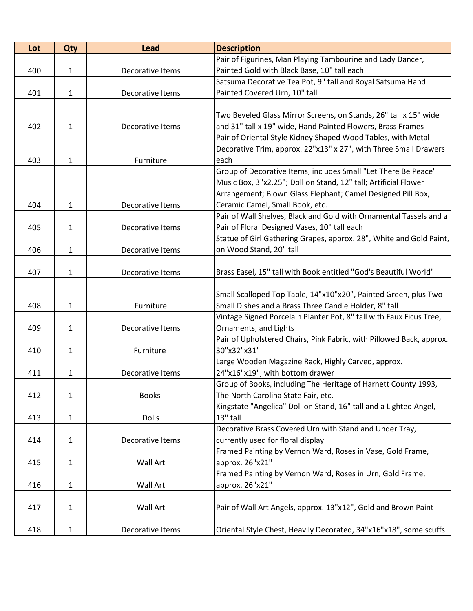| Lot | <b>Qty</b>   | <b>Lead</b>      | <b>Description</b>                                                   |
|-----|--------------|------------------|----------------------------------------------------------------------|
|     |              |                  | Pair of Figurines, Man Playing Tambourine and Lady Dancer,           |
| 400 | 1            | Decorative Items | Painted Gold with Black Base, 10" tall each                          |
|     |              |                  | Satsuma Decorative Tea Pot, 9" tall and Royal Satsuma Hand           |
| 401 | $\mathbf{1}$ | Decorative Items | Painted Covered Urn, 10" tall                                        |
|     |              |                  |                                                                      |
|     |              |                  | Two Beveled Glass Mirror Screens, on Stands, 26" tall x 15" wide     |
| 402 | 1            | Decorative Items | and 31" tall x 19" wide, Hand Painted Flowers, Brass Frames          |
|     |              |                  | Pair of Oriental Style Kidney Shaped Wood Tables, with Metal         |
|     |              |                  | Decorative Trim, approx. 22"x13" x 27", with Three Small Drawers     |
| 403 | 1            | Furniture        | each                                                                 |
|     |              |                  | Group of Decorative Items, includes Small "Let There Be Peace"       |
|     |              |                  | Music Box, 3"x2.25"; Doll on Stand, 12" tall; Artificial Flower      |
|     |              |                  | Arrangement; Blown Glass Elephant; Camel Designed Pill Box,          |
| 404 | 1            | Decorative Items | Ceramic Camel, Small Book, etc.                                      |
|     |              |                  | Pair of Wall Shelves, Black and Gold with Ornamental Tassels and a   |
| 405 | 1            | Decorative Items | Pair of Floral Designed Vases, 10" tall each                         |
|     |              |                  | Statue of Girl Gathering Grapes, approx. 28", White and Gold Paint,  |
| 406 | 1            | Decorative Items | on Wood Stand, 20" tall                                              |
|     |              |                  |                                                                      |
| 407 | 1            | Decorative Items | Brass Easel, 15" tall with Book entitled "God's Beautiful World"     |
|     |              |                  |                                                                      |
|     |              |                  | Small Scalloped Top Table, 14"x10"x20", Painted Green, plus Two      |
| 408 | 1            | Furniture        | Small Dishes and a Brass Three Candle Holder, 8" tall                |
|     |              |                  | Vintage Signed Porcelain Planter Pot, 8" tall with Faux Ficus Tree,  |
| 409 | 1            | Decorative Items | Ornaments, and Lights                                                |
|     |              |                  | Pair of Upholstered Chairs, Pink Fabric, with Pillowed Back, approx. |
| 410 | $\mathbf{1}$ | Furniture        | 30"x32"x31"                                                          |
|     |              |                  | Large Wooden Magazine Rack, Highly Carved, approx.                   |
| 411 | 1            | Decorative Items | 24"x16"x19", with bottom drawer                                      |
|     |              |                  | Group of Books, including The Heritage of Harnett County 1993,       |
| 412 | $\mathbf{1}$ | <b>Books</b>     | The North Carolina State Fair, etc.                                  |
|     |              |                  | Kingstate "Angelica" Doll on Stand, 16" tall and a Lighted Angel,    |
| 413 | $\mathbf{1}$ | <b>Dolls</b>     | 13" tall                                                             |
|     |              |                  | Decorative Brass Covered Urn with Stand and Under Tray,              |
| 414 | $\mathbf{1}$ | Decorative Items | currently used for floral display                                    |
|     |              |                  | Framed Painting by Vernon Ward, Roses in Vase, Gold Frame,           |
| 415 | 1            | Wall Art         | approx. 26"x21"                                                      |
|     |              |                  | Framed Painting by Vernon Ward, Roses in Urn, Gold Frame,            |
| 416 | 1            | Wall Art         | approx. 26"x21"                                                      |
|     |              |                  |                                                                      |
| 417 | $\mathbf{1}$ | Wall Art         | Pair of Wall Art Angels, approx. 13"x12", Gold and Brown Paint       |
|     |              |                  |                                                                      |
| 418 | $\mathbf{1}$ | Decorative Items | Oriental Style Chest, Heavily Decorated, 34"x16"x18", some scuffs    |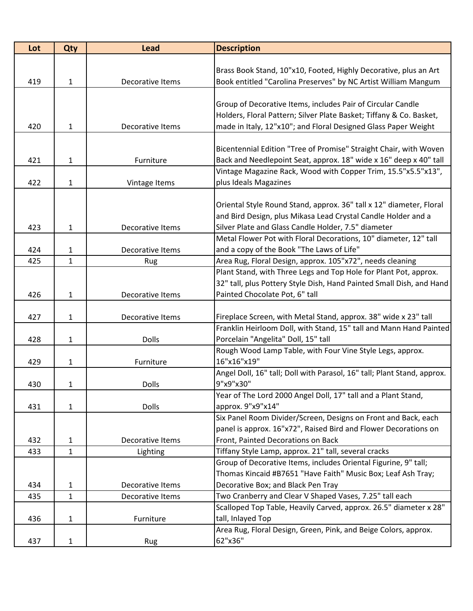| Lot | Qty          | <b>Lead</b>      | <b>Description</b>                                                      |
|-----|--------------|------------------|-------------------------------------------------------------------------|
|     |              |                  |                                                                         |
|     |              |                  | Brass Book Stand, 10"x10, Footed, Highly Decorative, plus an Art        |
| 419 | $\mathbf{1}$ | Decorative Items | Book entitled "Carolina Preserves" by NC Artist William Mangum          |
|     |              |                  |                                                                         |
|     |              |                  | Group of Decorative Items, includes Pair of Circular Candle             |
|     |              |                  | Holders, Floral Pattern; Silver Plate Basket; Tiffany & Co. Basket,     |
| 420 | $\mathbf{1}$ | Decorative Items | made in Italy, 12"x10"; and Floral Designed Glass Paper Weight          |
|     |              |                  |                                                                         |
|     |              |                  | Bicentennial Edition "Tree of Promise" Straight Chair, with Woven       |
| 421 | $\mathbf{1}$ | Furniture        | Back and Needlepoint Seat, approx. 18" wide x 16" deep x 40" tall       |
|     |              |                  | Vintage Magazine Rack, Wood with Copper Trim, 15.5"x5.5"x13",           |
| 422 | 1            | Vintage Items    | plus Ideals Magazines                                                   |
|     |              |                  |                                                                         |
|     |              |                  | Oriental Style Round Stand, approx. 36" tall x 12" diameter, Floral     |
|     |              |                  | and Bird Design, plus Mikasa Lead Crystal Candle Holder and a           |
| 423 | $\mathbf{1}$ | Decorative Items | Silver Plate and Glass Candle Holder, 7.5" diameter                     |
|     |              |                  | Metal Flower Pot with Floral Decorations, 10" diameter, 12" tall        |
| 424 | $\mathbf{1}$ | Decorative Items | and a copy of the Book "The Laws of Life"                               |
| 425 | $\mathbf{1}$ | Rug              | Area Rug, Floral Design, approx. 105"x72", needs cleaning               |
|     |              |                  | Plant Stand, with Three Legs and Top Hole for Plant Pot, approx.        |
|     |              |                  | 32" tall, plus Pottery Style Dish, Hand Painted Small Dish, and Hand    |
| 426 | $\mathbf{1}$ | Decorative Items | Painted Chocolate Pot, 6" tall                                          |
|     |              |                  |                                                                         |
| 427 | $\mathbf{1}$ | Decorative Items | Fireplace Screen, with Metal Stand, approx. 38" wide x 23" tall         |
|     |              |                  | Franklin Heirloom Doll, with Stand, 15" tall and Mann Hand Painted      |
| 428 | $\mathbf{1}$ | <b>Dolls</b>     | Porcelain "Angelita" Doll, 15" tall                                     |
|     |              |                  | Rough Wood Lamp Table, with Four Vine Style Legs, approx.               |
| 429 | 1            | Furniture        | 16"x16"x19"                                                             |
|     |              |                  | Angel Doll, 16" tall; Doll with Parasol, 16" tall; Plant Stand, approx. |
| 430 | 1            | Dolls            | 9"x9"x30"                                                               |
|     |              |                  | Year of The Lord 2000 Angel Doll, 17" tall and a Plant Stand,           |
| 431 | $\mathbf{1}$ | <b>Dolls</b>     | approx. 9"x9"x14"                                                       |
|     |              |                  | Six Panel Room Divider/Screen, Designs on Front and Back, each          |
|     |              |                  | panel is approx. 16"x72", Raised Bird and Flower Decorations on         |
| 432 | 1            | Decorative Items | Front, Painted Decorations on Back                                      |
| 433 | $\mathbf{1}$ | Lighting         | Tiffany Style Lamp, approx. 21" tall, several cracks                    |
|     |              |                  | Group of Decorative Items, includes Oriental Figurine, 9" tall;         |
|     |              |                  | Thomas Kincaid #B7651 "Have Faith" Music Box; Leaf Ash Tray;            |
| 434 | 1            | Decorative Items | Decorative Box; and Black Pen Tray                                      |
| 435 | $\mathbf{1}$ | Decorative Items | Two Cranberry and Clear V Shaped Vases, 7.25" tall each                 |
|     |              |                  | Scalloped Top Table, Heavily Carved, approx. 26.5" diameter x 28"       |
| 436 | $\mathbf{1}$ | Furniture        | tall, Inlayed Top                                                       |
|     |              |                  | Area Rug, Floral Design, Green, Pink, and Beige Colors, approx.         |
| 437 | $\mathbf{1}$ | Rug              | 62"x36"                                                                 |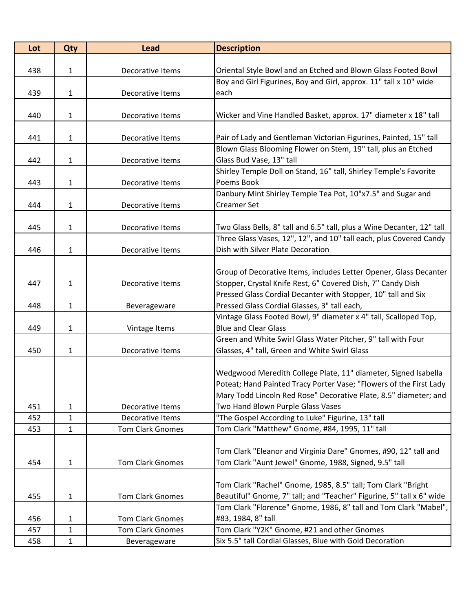| Lot | Qty               | <b>Lead</b>             | <b>Description</b>                                                                                                                 |
|-----|-------------------|-------------------------|------------------------------------------------------------------------------------------------------------------------------------|
|     |                   |                         |                                                                                                                                    |
| 438 | 1                 | Decorative Items        | Oriental Style Bowl and an Etched and Blown Glass Footed Bowl                                                                      |
|     |                   |                         | Boy and Girl Figurines, Boy and Girl, approx. 11" tall x 10" wide                                                                  |
| 439 | 1                 | Decorative Items        | each                                                                                                                               |
|     |                   |                         |                                                                                                                                    |
| 440 | 1                 | Decorative Items        | Wicker and Vine Handled Basket, approx. 17" diameter x 18" tall                                                                    |
|     |                   |                         |                                                                                                                                    |
| 441 | $\mathbf{1}$      | Decorative Items        | Pair of Lady and Gentleman Victorian Figurines, Painted, 15" tall<br>Blown Glass Blooming Flower on Stem, 19" tall, plus an Etched |
|     |                   |                         | Glass Bud Vase, 13" tall                                                                                                           |
| 442 | 1                 | Decorative Items        | Shirley Temple Doll on Stand, 16" tall, Shirley Temple's Favorite                                                                  |
| 443 |                   |                         | Poems Book                                                                                                                         |
|     | $\mathbf{1}$      | Decorative Items        |                                                                                                                                    |
|     |                   |                         | Danbury Mint Shirley Temple Tea Pot, 10"x7.5" and Sugar and                                                                        |
| 444 | $\mathbf{1}$      | Decorative Items        | <b>Creamer Set</b>                                                                                                                 |
| 445 | $\mathbf{1}$      | Decorative Items        | Two Glass Bells, 8" tall and 6.5" tall, plus a Wine Decanter, 12" tall                                                             |
|     |                   |                         | Three Glass Vases, 12", 12", and 10" tall each, plus Covered Candy                                                                 |
| 446 | $\mathbf{1}$      | Decorative Items        | Dish with Silver Plate Decoration                                                                                                  |
|     |                   |                         |                                                                                                                                    |
|     |                   |                         | Group of Decorative Items, includes Letter Opener, Glass Decanter                                                                  |
| 447 | $\mathbf{1}$      | Decorative Items        |                                                                                                                                    |
|     |                   |                         | Stopper, Crystal Knife Rest, 6" Covered Dish, 7" Candy Dish<br>Pressed Glass Cordial Decanter with Stopper, 10" tall and Six       |
| 448 | $\mathbf{1}$      |                         | Pressed Glass Cordial Glasses, 3" tall each,                                                                                       |
|     |                   | Beverageware            | Vintage Glass Footed Bowl, 9" diameter x 4" tall, Scalloped Top,                                                                   |
| 449 | 1                 | Vintage Items           | <b>Blue and Clear Glass</b>                                                                                                        |
|     |                   |                         | Green and White Swirl Glass Water Pitcher, 9" tall with Four                                                                       |
| 450 | $\mathbf{1}$      | Decorative Items        | Glasses, 4" tall, Green and White Swirl Glass                                                                                      |
|     |                   |                         |                                                                                                                                    |
|     |                   |                         | Wedgwood Meredith College Plate, 11" diameter, Signed Isabella                                                                     |
|     |                   |                         | Poteat; Hand Painted Tracy Porter Vase; "Flowers of the First Lady                                                                 |
|     |                   |                         | Mary Todd Lincoln Red Rose" Decorative Plate, 8.5" diameter; and                                                                   |
| 451 |                   | Decorative Items        | Two Hand Blown Purple Glass Vases                                                                                                  |
| 452 | 1<br>$\mathbf{1}$ | Decorative Items        | "The Gospel According to Luke" Figurine, 13" tall                                                                                  |
| 453 | $\mathbf{1}$      | <b>Tom Clark Gnomes</b> | Tom Clark "Matthew" Gnome, #84, 1995, 11" tall                                                                                     |
|     |                   |                         |                                                                                                                                    |
|     |                   |                         | Tom Clark "Eleanor and Virginia Dare" Gnomes, #90, 12" tall and                                                                    |
|     |                   | <b>Tom Clark Gnomes</b> | Tom Clark "Aunt Jewel" Gnome, 1988, Signed, 9.5" tall                                                                              |
| 454 | $\mathbf{1}$      |                         |                                                                                                                                    |
|     |                   |                         | Tom Clark "Rachel" Gnome, 1985, 8.5" tall; Tom Clark "Bright                                                                       |
| 455 | $\mathbf{1}$      | <b>Tom Clark Gnomes</b> | Beautiful" Gnome, 7" tall; and "Teacher" Figurine, 5" tall x 6" wide                                                               |
|     |                   |                         | Tom Clark "Florence" Gnome, 1986, 8" tall and Tom Clark "Mabel",                                                                   |
| 456 | 1                 | <b>Tom Clark Gnomes</b> | #83, 1984, 8" tall                                                                                                                 |
| 457 | 1                 | <b>Tom Clark Gnomes</b> | Tom Clark "Y2K" Gnome, #21 and other Gnomes                                                                                        |
| 458 | $\mathbf{1}$      | Beverageware            | Six 5.5" tall Cordial Glasses, Blue with Gold Decoration                                                                           |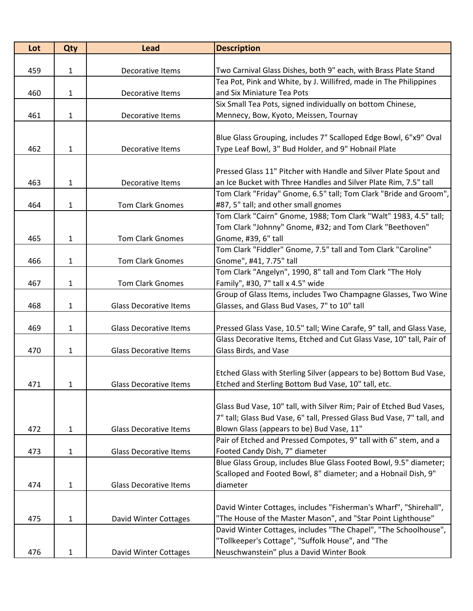| Lot | Qty          | <b>Lead</b>                   | <b>Description</b>                                                                                 |
|-----|--------------|-------------------------------|----------------------------------------------------------------------------------------------------|
|     |              |                               |                                                                                                    |
| 459 | $\mathbf{1}$ | Decorative Items              | Two Carnival Glass Dishes, both 9" each, with Brass Plate Stand                                    |
|     |              |                               | Tea Pot, Pink and White, by J. Willifred, made in The Philippines                                  |
| 460 | $\mathbf{1}$ | Decorative Items              | and Six Miniature Tea Pots                                                                         |
|     |              |                               | Six Small Tea Pots, signed individually on bottom Chinese,                                         |
| 461 | 1            | Decorative Items              | Mennecy, Bow, Kyoto, Meissen, Tournay                                                              |
|     |              |                               |                                                                                                    |
|     |              |                               | Blue Glass Grouping, includes 7" Scalloped Edge Bowl, 6"x9" Oval                                   |
| 462 | 1            | Decorative Items              | Type Leaf Bowl, 3" Bud Holder, and 9" Hobnail Plate                                                |
|     |              |                               | Pressed Glass 11" Pitcher with Handle and Silver Plate Spout and                                   |
| 463 | $\mathbf{1}$ | Decorative Items              | an Ice Bucket with Three Handles and Silver Plate Rim, 7.5" tall                                   |
|     |              |                               | Tom Clark "Friday" Gnome, 6.5" tall; Tom Clark "Bride and Groom",                                  |
| 464 | 1            | <b>Tom Clark Gnomes</b>       | #87, 5" tall; and other small gnomes                                                               |
|     |              |                               | Tom Clark "Cairn" Gnome, 1988; Tom Clark "Walt" 1983, 4.5" tall;                                   |
|     |              |                               | Tom Clark "Johnny" Gnome, #32; and Tom Clark "Beethoven"                                           |
| 465 | $\mathbf{1}$ | <b>Tom Clark Gnomes</b>       | Gnome, #39, 6" tall                                                                                |
|     |              |                               | Tom Clark "Fiddler" Gnome, 7.5" tall and Tom Clark "Caroline"                                      |
| 466 | 1            | <b>Tom Clark Gnomes</b>       | Gnome", #41, 7.75" tall                                                                            |
|     |              |                               | Tom Clark "Angelyn", 1990, 8" tall and Tom Clark "The Holy                                         |
| 467 | $\mathbf{1}$ | Tom Clark Gnomes              | Family", #30, 7" tall x 4.5" wide                                                                  |
|     |              |                               | Group of Glass Items, includes Two Champagne Glasses, Two Wine                                     |
| 468 | $\mathbf{1}$ | <b>Glass Decorative Items</b> | Glasses, and Glass Bud Vases, 7" to 10" tall                                                       |
|     |              |                               |                                                                                                    |
| 469 | 1            | <b>Glass Decorative Items</b> | Pressed Glass Vase, 10.5" tall; Wine Carafe, 9" tall, and Glass Vase,                              |
|     |              |                               | Glass Decorative Items, Etched and Cut Glass Vase, 10" tall, Pair of                               |
| 470 | 1            | <b>Glass Decorative Items</b> | Glass Birds, and Vase                                                                              |
|     |              |                               |                                                                                                    |
|     |              |                               | Etched Glass with Sterling Silver (appears to be) Bottom Bud Vase,                                 |
| 471 | 1            | <b>Glass Decorative Items</b> | Etched and Sterling Bottom Bud Vase, 10" tall, etc.                                                |
|     |              |                               |                                                                                                    |
|     |              |                               | Glass Bud Vase, 10" tall, with Silver Rim; Pair of Etched Bud Vases,                               |
|     |              |                               | 7" tall; Glass Bud Vase, 6" tall, Pressed Glass Bud Vase, 7" tall, and                             |
| 472 | $\mathbf{1}$ | <b>Glass Decorative Items</b> | Blown Glass (appears to be) Bud Vase, 11"                                                          |
|     |              | <b>Glass Decorative Items</b> | Pair of Etched and Pressed Compotes, 9" tall with 6" stem, and a<br>Footed Candy Dish, 7" diameter |
| 473 | 1            |                               | Blue Glass Group, includes Blue Glass Footed Bowl, 9.5" diameter;                                  |
|     |              |                               | Scalloped and Footed Bowl, 8" diameter; and a Hobnail Dish, 9"                                     |
| 474 | 1            | <b>Glass Decorative Items</b> | diameter                                                                                           |
|     |              |                               |                                                                                                    |
|     |              |                               | David Winter Cottages, includes "Fisherman's Wharf", "Shirehall",                                  |
| 475 | $\mathbf{1}$ | David Winter Cottages         | "The House of the Master Mason", and "Star Point Lighthouse"                                       |
|     |              |                               | David Winter Cottages, includes "The Chapel", "The Schoolhouse",                                   |
|     |              |                               | "Tollkeeper's Cottage", "Suffolk House", and "The                                                  |
| 476 | 1            | David Winter Cottages         | Neuschwanstein" plus a David Winter Book                                                           |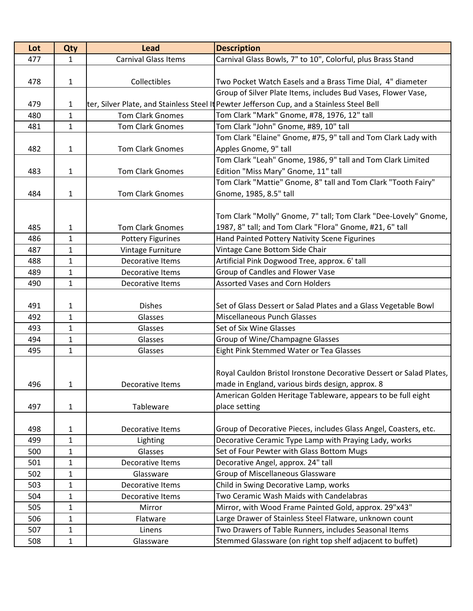| Lot | Qty          | <b>Lead</b>                 | <b>Description</b>                                                                         |
|-----|--------------|-----------------------------|--------------------------------------------------------------------------------------------|
| 477 | 1            | <b>Carnival Glass Items</b> | Carnival Glass Bowls, 7" to 10", Colorful, plus Brass Stand                                |
|     |              |                             |                                                                                            |
| 478 | $\mathbf{1}$ | Collectibles                | Two Pocket Watch Easels and a Brass Time Dial, 4" diameter                                 |
|     |              |                             | Group of Silver Plate Items, includes Bud Vases, Flower Vase,                              |
| 479 | $\mathbf{1}$ |                             | ter, Silver Plate, and Stainless Steel It Pewter Jefferson Cup, and a Stainless Steel Bell |
| 480 | 1            | <b>Tom Clark Gnomes</b>     | Tom Clark "Mark" Gnome, #78, 1976, 12" tall                                                |
| 481 | $\mathbf{1}$ | <b>Tom Clark Gnomes</b>     | Tom Clark "John" Gnome, #89, 10" tall                                                      |
|     |              |                             | Tom Clark "Elaine" Gnome, #75, 9" tall and Tom Clark Lady with                             |
| 482 | $\mathbf{1}$ | <b>Tom Clark Gnomes</b>     | Apples Gnome, 9" tall                                                                      |
|     |              |                             | Tom Clark "Leah" Gnome, 1986, 9" tall and Tom Clark Limited                                |
| 483 | $\mathbf{1}$ | Tom Clark Gnomes            | Edition "Miss Mary" Gnome, 11" tall                                                        |
|     |              |                             | Tom Clark "Mattie" Gnome, 8" tall and Tom Clark "Tooth Fairy"                              |
| 484 | $\mathbf{1}$ | <b>Tom Clark Gnomes</b>     | Gnome, 1985, 8.5" tall                                                                     |
|     |              |                             |                                                                                            |
|     |              |                             | Tom Clark "Molly" Gnome, 7" tall; Tom Clark "Dee-Lovely" Gnome,                            |
| 485 | 1            | <b>Tom Clark Gnomes</b>     | 1987, 8" tall; and Tom Clark "Flora" Gnome, #21, 6" tall                                   |
| 486 | 1            | <b>Pottery Figurines</b>    | Hand Painted Pottery Nativity Scene Figurines                                              |
| 487 | 1            | Vintage Furniture           | Vintage Cane Bottom Side Chair                                                             |
| 488 | 1            | Decorative Items            | Artificial Pink Dogwood Tree, approx. 6' tall                                              |
| 489 | $\mathbf{1}$ | Decorative Items            | Group of Candles and Flower Vase                                                           |
| 490 | $\mathbf{1}$ | Decorative Items            | <b>Assorted Vases and Corn Holders</b>                                                     |
|     |              |                             |                                                                                            |
| 491 | 1            | <b>Dishes</b>               | Set of Glass Dessert or Salad Plates and a Glass Vegetable Bowl                            |
| 492 | $\mathbf{1}$ | Glasses                     | <b>Miscellaneous Punch Glasses</b>                                                         |
| 493 | 1            | Glasses                     | Set of Six Wine Glasses                                                                    |
| 494 | $\mathbf{1}$ | Glasses                     | Group of Wine/Champagne Glasses                                                            |
| 495 | 1            | Glasses                     | Eight Pink Stemmed Water or Tea Glasses                                                    |
|     |              |                             |                                                                                            |
|     |              |                             | Royal Cauldon Bristol Ironstone Decorative Dessert or Salad Plates,                        |
| 496 | 1            | Decorative Items            | made in England, various birds design, approx. 8                                           |
|     |              |                             | American Golden Heritage Tableware, appears to be full eight                               |
| 497 | $\mathbf{1}$ | Tableware                   | place setting                                                                              |
|     |              |                             |                                                                                            |
| 498 | 1            | Decorative Items            | Group of Decorative Pieces, includes Glass Angel, Coasters, etc.                           |
| 499 | 1            | Lighting                    | Decorative Ceramic Type Lamp with Praying Lady, works                                      |
| 500 | 1            | Glasses                     | Set of Four Pewter with Glass Bottom Mugs                                                  |
| 501 | 1            | Decorative Items            | Decorative Angel, approx. 24" tall                                                         |
| 502 | 1            | Glassware                   | <b>Group of Miscellaneous Glassware</b>                                                    |
| 503 | $\mathbf{1}$ | Decorative Items            | Child in Swing Decorative Lamp, works                                                      |
| 504 | 1            | Decorative Items            | Two Ceramic Wash Maids with Candelabras                                                    |
| 505 | 1            | Mirror                      | Mirror, with Wood Frame Painted Gold, approx. 29"x43"                                      |
| 506 | 1            | Flatware                    | Large Drawer of Stainless Steel Flatware, unknown count                                    |
| 507 | $\mathbf{1}$ | Linens                      | Two Drawers of Table Runners, includes Seasonal Items                                      |
| 508 | 1            | Glassware                   | Stemmed Glassware (on right top shelf adjacent to buffet)                                  |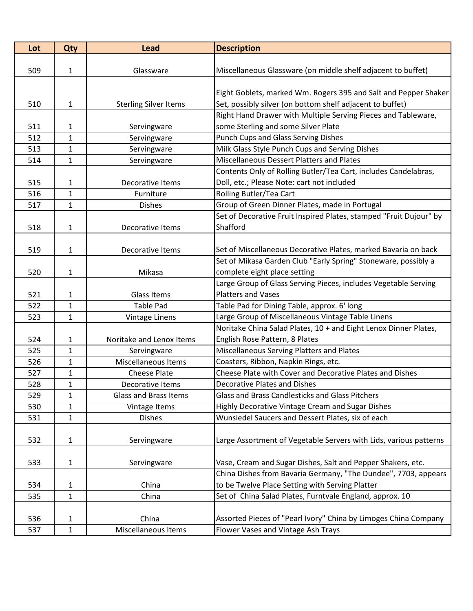| Lot | Qty          | <b>Lead</b>                  | <b>Description</b>                                                 |
|-----|--------------|------------------------------|--------------------------------------------------------------------|
|     |              |                              |                                                                    |
| 509 | 1            | Glassware                    | Miscellaneous Glassware (on middle shelf adjacent to buffet)       |
|     |              |                              |                                                                    |
|     |              |                              | Eight Goblets, marked Wm. Rogers 395 and Salt and Pepper Shaker    |
| 510 | 1            | <b>Sterling Silver Items</b> | Set, possibly silver (on bottom shelf adjacent to buffet)          |
|     |              |                              | Right Hand Drawer with Multiple Serving Pieces and Tableware,      |
| 511 | 1            | Servingware                  | some Sterling and some Silver Plate                                |
| 512 | $\mathbf{1}$ | Servingware                  | <b>Punch Cups and Glass Serving Dishes</b>                         |
| 513 | 1            | Servingware                  | Milk Glass Style Punch Cups and Serving Dishes                     |
| 514 | $\mathbf{1}$ | Servingware                  | Miscellaneous Dessert Platters and Plates                          |
|     |              |                              | Contents Only of Rolling Butler/Tea Cart, includes Candelabras,    |
| 515 | 1            | Decorative Items             | Doll, etc.; Please Note: cart not included                         |
| 516 | $\mathbf{1}$ | Furniture                    | Rolling Butler/Tea Cart                                            |
| 517 | $\mathbf{1}$ | <b>Dishes</b>                | Group of Green Dinner Plates, made in Portugal                     |
|     |              |                              | Set of Decorative Fruit Inspired Plates, stamped "Fruit Dujour" by |
| 518 | 1            | Decorative Items             | Shafford                                                           |
|     |              |                              |                                                                    |
| 519 | 1            | Decorative Items             | Set of Miscellaneous Decorative Plates, marked Bavaria on back     |
|     |              |                              | Set of Mikasa Garden Club "Early Spring" Stoneware, possibly a     |
| 520 | 1            | Mikasa                       | complete eight place setting                                       |
|     |              |                              | Large Group of Glass Serving Pieces, includes Vegetable Serving    |
| 521 | $\mathbf{1}$ | <b>Glass Items</b>           | <b>Platters and Vases</b>                                          |
| 522 | $\mathbf{1}$ | <b>Table Pad</b>             | Table Pad for Dining Table, approx. 6' long                        |
| 523 | 1            | Vintage Linens               | Large Group of Miscellaneous Vintage Table Linens                  |
|     |              |                              | Noritake China Salad Plates, 10 + and Eight Lenox Dinner Plates,   |
| 524 | 1            | Noritake and Lenox Items     | English Rose Pattern, 8 Plates                                     |
| 525 | $\mathbf{1}$ | Servingware                  | Miscellaneous Serving Platters and Plates                          |
| 526 | 1            | Miscellaneous Items          | Coasters, Ribbon, Napkin Rings, etc.                               |
| 527 | $\mathbf{1}$ | <b>Cheese Plate</b>          | Cheese Plate with Cover and Decorative Plates and Dishes           |
| 528 | $\mathbf{1}$ | Decorative Items             | Decorative Plates and Dishes                                       |
| 529 | $\mathbf{1}$ | <b>Glass and Brass Items</b> | Glass and Brass Candlesticks and Glass Pitchers                    |
| 530 | $\mathbf{1}$ | Vintage Items                | Highly Decorative Vintage Cream and Sugar Dishes                   |
| 531 | $\mathbf{1}$ | <b>Dishes</b>                | Wunsiedel Saucers and Dessert Plates, six of each                  |
|     |              |                              |                                                                    |
| 532 | 1            | Servingware                  | Large Assortment of Vegetable Servers with Lids, various patterns  |
|     |              |                              |                                                                    |
| 533 | $\mathbf{1}$ | Servingware                  | Vase, Cream and Sugar Dishes, Salt and Pepper Shakers, etc.        |
|     |              |                              | China Dishes from Bavaria Germany, "The Dundee", 7703, appears     |
| 534 | $\mathbf{1}$ | China                        | to be Twelve Place Setting with Serving Platter                    |
| 535 | $\mathbf{1}$ | China                        | Set of China Salad Plates, Furntvale England, approx. 10           |
|     |              |                              |                                                                    |
| 536 | 1            | China                        | Assorted Pieces of "Pearl Ivory" China by Limoges China Company    |
| 537 | $\mathbf{1}$ | Miscellaneous Items          | Flower Vases and Vintage Ash Trays                                 |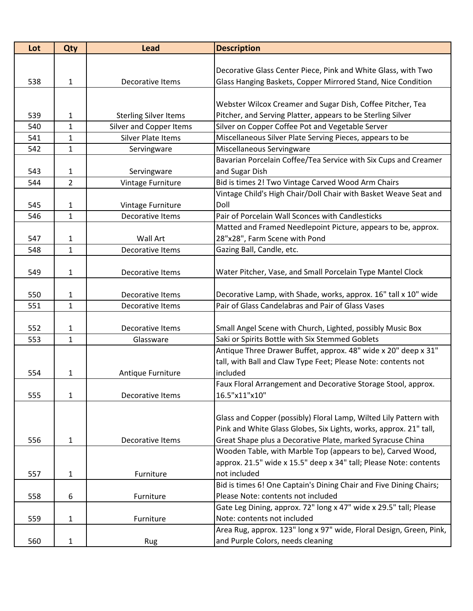| Lot | Qty            | <b>Lead</b>                  | <b>Description</b>                                                  |
|-----|----------------|------------------------------|---------------------------------------------------------------------|
|     |                |                              |                                                                     |
|     |                |                              | Decorative Glass Center Piece, Pink and White Glass, with Two       |
| 538 | $\mathbf{1}$   | Decorative Items             | Glass Hanging Baskets, Copper Mirrored Stand, Nice Condition        |
|     |                |                              |                                                                     |
|     |                |                              | Webster Wilcox Creamer and Sugar Dish, Coffee Pitcher, Tea          |
| 539 | 1              | <b>Sterling Silver Items</b> | Pitcher, and Serving Platter, appears to be Sterling Silver         |
| 540 | $\mathbf{1}$   | Silver and Copper Items      | Silver on Copper Coffee Pot and Vegetable Server                    |
| 541 | $\mathbf{1}$   | Silver Plate Items           | Miscellaneous Silver Plate Serving Pieces, appears to be            |
| 542 | 1              | Servingware                  | Miscellaneous Servingware                                           |
|     |                |                              | Bavarian Porcelain Coffee/Tea Service with Six Cups and Creamer     |
| 543 | 1              | Servingware                  | and Sugar Dish                                                      |
| 544 | $\overline{2}$ | Vintage Furniture            | Bid is times 2! Two Vintage Carved Wood Arm Chairs                  |
|     |                |                              | Vintage Child's High Chair/Doll Chair with Basket Weave Seat and    |
| 545 | 1              | Vintage Furniture            | Doll                                                                |
| 546 | $\mathbf{1}$   | Decorative Items             | Pair of Porcelain Wall Sconces with Candlesticks                    |
|     |                |                              | Matted and Framed Needlepoint Picture, appears to be, approx.       |
| 547 | $\mathbf{1}$   | <b>Wall Art</b>              | 28"x28", Farm Scene with Pond                                       |
| 548 | 1              | Decorative Items             | Gazing Ball, Candle, etc.                                           |
|     |                |                              |                                                                     |
| 549 | $\mathbf{1}$   | Decorative Items             | Water Pitcher, Vase, and Small Porcelain Type Mantel Clock          |
|     |                |                              |                                                                     |
| 550 | 1              | Decorative Items             | Decorative Lamp, with Shade, works, approx. 16" tall x 10" wide     |
| 551 | 1              | Decorative Items             | Pair of Glass Candelabras and Pair of Glass Vases                   |
|     |                |                              |                                                                     |
| 552 | 1              | Decorative Items             | Small Angel Scene with Church, Lighted, possibly Music Box          |
| 553 | $\mathbf{1}$   | Glassware                    | Saki or Spirits Bottle with Six Stemmed Goblets                     |
|     |                |                              | Antique Three Drawer Buffet, approx. 48" wide x 20" deep x 31"      |
|     |                |                              | tall, with Ball and Claw Type Feet; Please Note: contents not       |
| 554 | 1              | Antique Furniture            | included                                                            |
|     |                |                              | Faux Floral Arrangement and Decorative Storage Stool, approx.       |
| 555 | $\mathbf{1}$   | Decorative Items             | 16.5"x11"x10"                                                       |
|     |                |                              |                                                                     |
|     |                |                              | Glass and Copper (possibly) Floral Lamp, Wilted Lily Pattern with   |
|     |                |                              | Pink and White Glass Globes, Six Lights, works, approx. 21" tall,   |
| 556 | 1              | Decorative Items             | Great Shape plus a Decorative Plate, marked Syracuse China          |
|     |                |                              | Wooden Table, with Marble Top (appears to be), Carved Wood,         |
|     |                |                              | approx. 21.5" wide x 15.5" deep x 34" tall; Please Note: contents   |
| 557 | 1              | Furniture                    | not included                                                        |
|     |                |                              | Bid is times 6! One Captain's Dining Chair and Five Dining Chairs;  |
| 558 | 6              | Furniture                    | Please Note: contents not included                                  |
|     |                |                              | Gate Leg Dining, approx. 72" long x 47" wide x 29.5" tall; Please   |
| 559 | $\mathbf{1}$   | Furniture                    | Note: contents not included                                         |
|     |                |                              | Area Rug, approx. 123" long x 97" wide, Floral Design, Green, Pink, |
| 560 | $\mathbf{1}$   | Rug                          | and Purple Colors, needs cleaning                                   |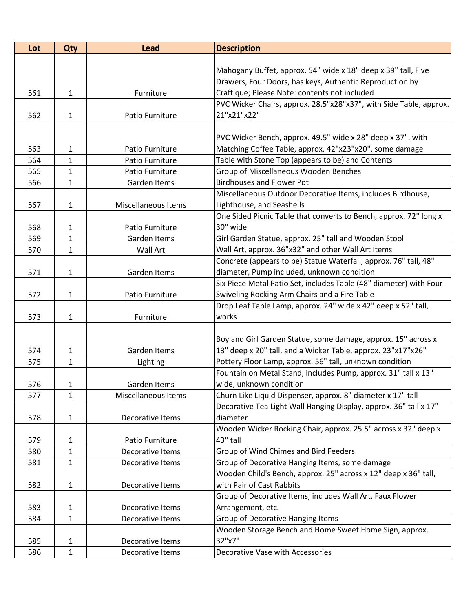| Lot | <b>Qty</b>   | <b>Lead</b>         | <b>Description</b>                                                            |
|-----|--------------|---------------------|-------------------------------------------------------------------------------|
|     |              |                     |                                                                               |
|     |              |                     | Mahogany Buffet, approx. 54" wide x 18" deep x 39" tall, Five                 |
|     |              |                     | Drawers, Four Doors, has keys, Authentic Reproduction by                      |
| 561 | 1            | Furniture           | Craftique; Please Note: contents not included                                 |
|     |              |                     | PVC Wicker Chairs, approx. 28.5"x28"x37", with Side Table, approx.            |
| 562 | $\mathbf{1}$ | Patio Furniture     | 21"x21"x22"                                                                   |
|     |              |                     |                                                                               |
|     |              |                     | PVC Wicker Bench, approx. 49.5" wide x 28" deep x 37", with                   |
| 563 | 1            | Patio Furniture     | Matching Coffee Table, approx. 42"x23"x20", some damage                       |
| 564 | $\mathbf{1}$ | Patio Furniture     | Table with Stone Top (appears to be) and Contents                             |
| 565 | 1            | Patio Furniture     | Group of Miscellaneous Wooden Benches                                         |
| 566 | $\mathbf{1}$ | Garden Items        | <b>Birdhouses and Flower Pot</b>                                              |
|     |              |                     | Miscellaneous Outdoor Decorative Items, includes Birdhouse,                   |
| 567 | 1            | Miscellaneous Items | Lighthouse, and Seashells                                                     |
|     |              |                     | One Sided Picnic Table that converts to Bench, approx. 72" long x             |
| 568 | 1            | Patio Furniture     | 30" wide                                                                      |
| 569 | 1            | Garden Items        | Girl Garden Statue, approx. 25" tall and Wooden Stool                         |
| 570 | 1            | <b>Wall Art</b>     | Wall Art, approx. 36"x32" and other Wall Art Items                            |
|     |              |                     | Concrete (appears to be) Statue Waterfall, approx. 76" tall, 48"              |
| 571 | 1            | Garden Items        | diameter, Pump included, unknown condition                                    |
|     |              |                     | Six Piece Metal Patio Set, includes Table (48" diameter) with Four            |
| 572 | $\mathbf{1}$ | Patio Furniture     | Swiveling Rocking Arm Chairs and a Fire Table                                 |
|     |              |                     | Drop Leaf Table Lamp, approx. 24" wide x 42" deep x 52" tall,                 |
| 573 | 1            | Furniture           | works                                                                         |
|     |              |                     |                                                                               |
|     |              |                     | Boy and Girl Garden Statue, some damage, approx. 15" across x                 |
| 574 | 1            | Garden Items        | 13" deep x 20" tall, and a Wicker Table, approx. 23"x17"x26"                  |
| 575 | $\mathbf{1}$ | Lighting            | Pottery Floor Lamp, approx. 56" tall, unknown condition                       |
|     |              |                     | Fountain on Metal Stand, includes Pump, approx. 31" tall x 13"                |
| 576 | 1            | Garden Items        | wide, unknown condition                                                       |
| 577 | $\mathbf{1}$ | Miscellaneous Items | Churn Like Liquid Dispenser, approx. 8" diameter x 17" tall                   |
|     |              |                     | Decorative Tea Light Wall Hanging Display, approx. 36" tall x 17"<br>diameter |
| 578 | 1            | Decorative Items    | Wooden Wicker Rocking Chair, approx. 25.5" across x 32" deep x                |
| 579 | 1            | Patio Furniture     | 43" tall                                                                      |
| 580 | $\mathbf{1}$ | Decorative Items    | Group of Wind Chimes and Bird Feeders                                         |
| 581 | $\mathbf{1}$ | Decorative Items    | Group of Decorative Hanging Items, some damage                                |
|     |              |                     | Wooden Child's Bench, approx. 25" across x 12" deep x 36" tall,               |
| 582 | 1            | Decorative Items    | with Pair of Cast Rabbits                                                     |
|     |              |                     | Group of Decorative Items, includes Wall Art, Faux Flower                     |
| 583 | $\mathbf{1}$ | Decorative Items    | Arrangement, etc.                                                             |
| 584 | 1            | Decorative Items    | Group of Decorative Hanging Items                                             |
|     |              |                     | Wooden Storage Bench and Home Sweet Home Sign, approx.                        |
| 585 | 1            | Decorative Items    | 32"x7"                                                                        |
| 586 | $\mathbf{1}$ | Decorative Items    | Decorative Vase with Accessories                                              |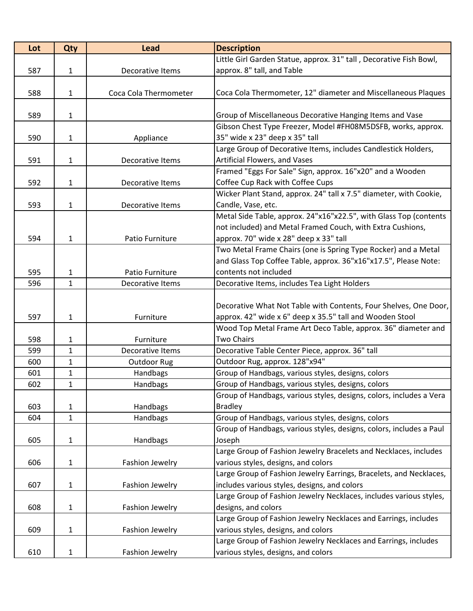| Lot | Qty          | <b>Lead</b>            | <b>Description</b>                                                                         |
|-----|--------------|------------------------|--------------------------------------------------------------------------------------------|
|     |              |                        | Little Girl Garden Statue, approx. 31" tall, Decorative Fish Bowl,                         |
| 587 | 1            | Decorative Items       | approx. 8" tall, and Table                                                                 |
|     |              |                        |                                                                                            |
| 588 | 1            | Coca Cola Thermometer  | Coca Cola Thermometer, 12" diameter and Miscellaneous Plaques                              |
|     |              |                        |                                                                                            |
| 589 | 1            |                        | Group of Miscellaneous Decorative Hanging Items and Vase                                   |
|     |              |                        | Gibson Chest Type Freezer, Model #FH08M5DSFB, works, approx.                               |
| 590 | 1            | Appliance              | 35" wide x 23" deep x 35" tall                                                             |
|     |              |                        | Large Group of Decorative Items, includes Candlestick Holders,                             |
| 591 | $\mathbf{1}$ | Decorative Items       | Artificial Flowers, and Vases<br>Framed "Eggs For Sale" Sign, approx. 16"x20" and a Wooden |
| 592 | $\mathbf{1}$ | Decorative Items       | Coffee Cup Rack with Coffee Cups                                                           |
|     |              |                        | Wicker Plant Stand, approx. 24" tall x 7.5" diameter, with Cookie,                         |
| 593 | 1            | Decorative Items       | Candle, Vase, etc.                                                                         |
|     |              |                        | Metal Side Table, approx. 24"x16"x22.5", with Glass Top (contents                          |
|     |              |                        | not included) and Metal Framed Couch, with Extra Cushions,                                 |
| 594 | $\mathbf{1}$ | Patio Furniture        | approx. 70" wide x 28" deep x 33" tall                                                     |
|     |              |                        | Two Metal Frame Chairs (one is Spring Type Rocker) and a Metal                             |
|     |              |                        | and Glass Top Coffee Table, approx. 36"x16"x17.5", Please Note:                            |
| 595 | 1            | Patio Furniture        | contents not included                                                                      |
| 596 | $\mathbf{1}$ | Decorative Items       | Decorative Items, includes Tea Light Holders                                               |
|     |              |                        |                                                                                            |
|     |              |                        | Decorative What Not Table with Contents, Four Shelves, One Door,                           |
| 597 | 1            | Furniture              | approx. 42" wide x 6" deep x 35.5" tall and Wooden Stool                                   |
|     |              |                        | Wood Top Metal Frame Art Deco Table, approx. 36" diameter and                              |
| 598 | $\mathbf{1}$ | Furniture              | <b>Two Chairs</b>                                                                          |
| 599 | $\mathbf{1}$ | Decorative Items       | Decorative Table Center Piece, approx. 36" tall                                            |
| 600 | 1            | Outdoor Rug            | Outdoor Rug, approx. 128"x94"                                                              |
| 601 | $\mathbf{1}$ | Handbags               | Group of Handbags, various styles, designs, colors                                         |
| 602 | $\mathbf{1}$ | Handbags               | Group of Handbags, various styles, designs, colors                                         |
|     |              |                        | Group of Handbags, various styles, designs, colors, includes a Vera                        |
| 603 | 1            | Handbags               | <b>Bradley</b>                                                                             |
| 604 | $\mathbf{1}$ | Handbags               | Group of Handbags, various styles, designs, colors                                         |
|     |              |                        | Group of Handbags, various styles, designs, colors, includes a Paul                        |
| 605 | 1            | Handbags               | Joseph                                                                                     |
|     |              |                        | Large Group of Fashion Jewelry Bracelets and Necklaces, includes                           |
| 606 | $\mathbf{1}$ | Fashion Jewelry        | various styles, designs, and colors                                                        |
|     |              |                        | Large Group of Fashion Jewelry Earrings, Bracelets, and Necklaces,                         |
| 607 | $\mathbf{1}$ | Fashion Jewelry        | includes various styles, designs, and colors                                               |
|     |              |                        | Large Group of Fashion Jewelry Necklaces, includes various styles,                         |
| 608 | $\mathbf{1}$ | Fashion Jewelry        | designs, and colors                                                                        |
|     |              |                        | Large Group of Fashion Jewelry Necklaces and Earrings, includes                            |
| 609 | $\mathbf{1}$ | Fashion Jewelry        | various styles, designs, and colors                                                        |
|     |              |                        | Large Group of Fashion Jewelry Necklaces and Earrings, includes                            |
| 610 | $\mathbf{1}$ | <b>Fashion Jewelry</b> | various styles, designs, and colors                                                        |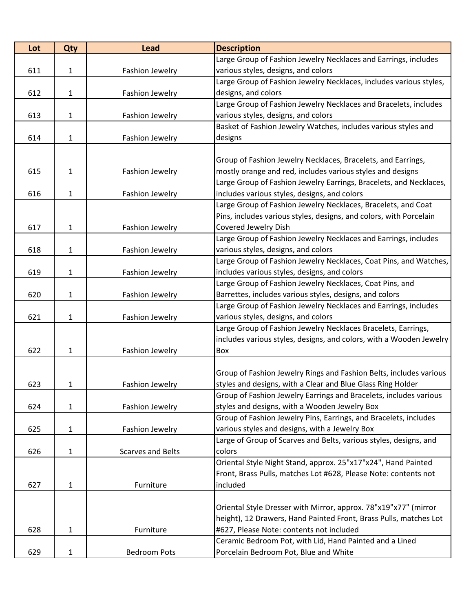| Lot | Qty          | <b>Lead</b>              | <b>Description</b>                                                  |
|-----|--------------|--------------------------|---------------------------------------------------------------------|
|     |              |                          | Large Group of Fashion Jewelry Necklaces and Earrings, includes     |
| 611 | $\mathbf{1}$ | Fashion Jewelry          | various styles, designs, and colors                                 |
|     |              |                          | Large Group of Fashion Jewelry Necklaces, includes various styles,  |
| 612 | $\mathbf{1}$ | Fashion Jewelry          | designs, and colors                                                 |
|     |              |                          | Large Group of Fashion Jewelry Necklaces and Bracelets, includes    |
| 613 | 1            | Fashion Jewelry          | various styles, designs, and colors                                 |
|     |              |                          | Basket of Fashion Jewelry Watches, includes various styles and      |
| 614 | 1            | Fashion Jewelry          | designs                                                             |
|     |              |                          |                                                                     |
|     |              |                          | Group of Fashion Jewelry Necklaces, Bracelets, and Earrings,        |
| 615 | $\mathbf{1}$ | Fashion Jewelry          | mostly orange and red, includes various styles and designs          |
|     |              |                          | Large Group of Fashion Jewelry Earrings, Bracelets, and Necklaces,  |
| 616 | 1            | Fashion Jewelry          | includes various styles, designs, and colors                        |
|     |              |                          | Large Group of Fashion Jewelry Necklaces, Bracelets, and Coat       |
|     |              |                          | Pins, includes various styles, designs, and colors, with Porcelain  |
| 617 | 1            | Fashion Jewelry          | Covered Jewelry Dish                                                |
|     |              |                          | Large Group of Fashion Jewelry Necklaces and Earrings, includes     |
| 618 | 1            | Fashion Jewelry          | various styles, designs, and colors                                 |
|     |              |                          | Large Group of Fashion Jewelry Necklaces, Coat Pins, and Watches,   |
| 619 | 1            | Fashion Jewelry          | includes various styles, designs, and colors                        |
|     |              |                          | Large Group of Fashion Jewelry Necklaces, Coat Pins, and            |
| 620 | 1            | Fashion Jewelry          | Barrettes, includes various styles, designs, and colors             |
|     |              |                          | Large Group of Fashion Jewelry Necklaces and Earrings, includes     |
| 621 | $\mathbf{1}$ | Fashion Jewelry          | various styles, designs, and colors                                 |
|     |              |                          | Large Group of Fashion Jewelry Necklaces Bracelets, Earrings,       |
|     |              |                          | includes various styles, designs, and colors, with a Wooden Jewelry |
| 622 | 1            | Fashion Jewelry          | Box                                                                 |
|     |              |                          |                                                                     |
|     |              |                          | Group of Fashion Jewelry Rings and Fashion Belts, includes various  |
| 623 | 1            | Fashion Jewelry          | styles and designs, with a Clear and Blue Glass Ring Holder         |
|     |              |                          | Group of Fashion Jewelry Earrings and Bracelets, includes various   |
| 624 | 1            | Fashion Jewelry          | styles and designs, with a Wooden Jewelry Box                       |
|     |              |                          | Group of Fashion Jewelry Pins, Earrings, and Bracelets, includes    |
| 625 | $\mathbf{1}$ | <b>Fashion Jewelry</b>   | various styles and designs, with a Jewelry Box                      |
|     |              |                          | Large of Group of Scarves and Belts, various styles, designs, and   |
| 626 | 1            | <b>Scarves and Belts</b> | colors                                                              |
|     |              |                          | Oriental Style Night Stand, approx. 25"x17"x24", Hand Painted       |
|     |              |                          | Front, Brass Pulls, matches Lot #628, Please Note: contents not     |
| 627 | 1            | Furniture                | included                                                            |
|     |              |                          |                                                                     |
|     |              |                          | Oriental Style Dresser with Mirror, approx. 78"x19"x77" (mirror     |
|     |              |                          | height), 12 Drawers, Hand Painted Front, Brass Pulls, matches Lot   |
| 628 | 1            | Furniture                | #627, Please Note: contents not included                            |
|     |              |                          | Ceramic Bedroom Pot, with Lid, Hand Painted and a Lined             |
| 629 | 1            | <b>Bedroom Pots</b>      | Porcelain Bedroom Pot, Blue and White                               |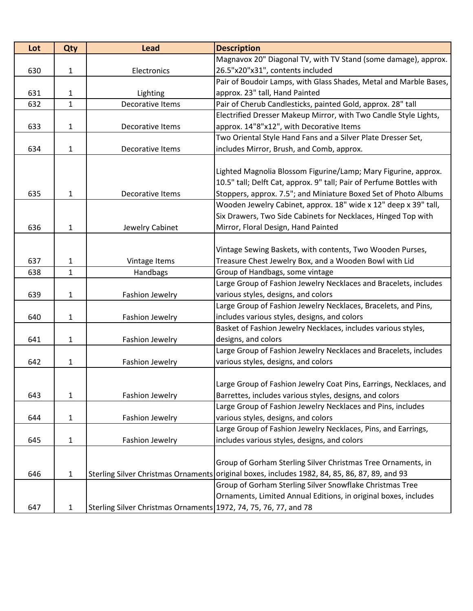| Lot | Qty          | <b>Lead</b>                                                      | <b>Description</b>                                                                            |
|-----|--------------|------------------------------------------------------------------|-----------------------------------------------------------------------------------------------|
|     |              |                                                                  | Magnavox 20" Diagonal TV, with TV Stand (some damage), approx.                                |
| 630 | $\mathbf{1}$ | Electronics                                                      | 26.5"x20"x31", contents included                                                              |
|     |              |                                                                  | Pair of Boudoir Lamps, with Glass Shades, Metal and Marble Bases,                             |
| 631 | 1            | Lighting                                                         | approx. 23" tall, Hand Painted                                                                |
| 632 | $\mathbf{1}$ | Decorative Items                                                 | Pair of Cherub Candlesticks, painted Gold, approx. 28" tall                                   |
|     |              |                                                                  | Electrified Dresser Makeup Mirror, with Two Candle Style Lights,                              |
| 633 | $\mathbf{1}$ | Decorative Items                                                 | approx. 14"8"x12", with Decorative Items                                                      |
|     |              |                                                                  | Two Oriental Style Hand Fans and a Silver Plate Dresser Set,                                  |
| 634 | $\mathbf{1}$ | Decorative Items                                                 | includes Mirror, Brush, and Comb, approx.                                                     |
|     |              |                                                                  |                                                                                               |
|     |              |                                                                  | Lighted Magnolia Blossom Figurine/Lamp; Mary Figurine, approx.                                |
|     |              |                                                                  | 10.5" tall; Delft Cat, approx. 9" tall; Pair of Perfume Bottles with                          |
| 635 | $\mathbf{1}$ | Decorative Items                                                 | Stoppers, approx. 7.5"; and Miniature Boxed Set of Photo Albums                               |
|     |              |                                                                  | Wooden Jewelry Cabinet, approx. 18" wide x 12" deep x 39" tall,                               |
|     |              |                                                                  | Six Drawers, Two Side Cabinets for Necklaces, Hinged Top with                                 |
| 636 | $\mathbf{1}$ | Jewelry Cabinet                                                  | Mirror, Floral Design, Hand Painted                                                           |
|     |              |                                                                  |                                                                                               |
|     |              |                                                                  | Vintage Sewing Baskets, with contents, Two Wooden Purses,                                     |
| 637 | $\mathbf{1}$ | Vintage Items                                                    | Treasure Chest Jewelry Box, and a Wooden Bowl with Lid                                        |
| 638 | $\mathbf{1}$ | Handbags                                                         | Group of Handbags, some vintage                                                               |
|     |              |                                                                  | Large Group of Fashion Jewelry Necklaces and Bracelets, includes                              |
| 639 | $\mathbf{1}$ | Fashion Jewelry                                                  | various styles, designs, and colors                                                           |
|     |              |                                                                  | Large Group of Fashion Jewelry Necklaces, Bracelets, and Pins,                                |
| 640 | 1            | Fashion Jewelry                                                  | includes various styles, designs, and colors                                                  |
|     |              |                                                                  | Basket of Fashion Jewelry Necklaces, includes various styles,                                 |
| 641 | $\mathbf{1}$ | Fashion Jewelry                                                  | designs, and colors                                                                           |
|     |              |                                                                  | Large Group of Fashion Jewelry Necklaces and Bracelets, includes                              |
| 642 | 1            | Fashion Jewelry                                                  | various styles, designs, and colors                                                           |
|     |              |                                                                  |                                                                                               |
|     |              |                                                                  | Large Group of Fashion Jewelry Coat Pins, Earrings, Necklaces, and                            |
| 643 | $\mathbf{1}$ | Fashion Jewelry                                                  | Barrettes, includes various styles, designs, and colors                                       |
|     |              |                                                                  | Large Group of Fashion Jewelry Necklaces and Pins, includes                                   |
| 644 | $\mathbf{1}$ | Fashion Jewelry                                                  | various styles, designs, and colors                                                           |
|     |              |                                                                  | Large Group of Fashion Jewelry Necklaces, Pins, and Earrings,                                 |
| 645 | $\mathbf{1}$ | Fashion Jewelry                                                  | includes various styles, designs, and colors                                                  |
|     |              |                                                                  |                                                                                               |
|     |              |                                                                  | Group of Gorham Sterling Silver Christmas Tree Ornaments, in                                  |
| 646 | $\mathbf{1}$ |                                                                  | Sterling Silver Christmas Ornaments original boxes, includes 1982, 84, 85, 86, 87, 89, and 93 |
|     |              |                                                                  | Group of Gorham Sterling Silver Snowflake Christmas Tree                                      |
|     |              |                                                                  | Ornaments, Limited Annual Editions, in original boxes, includes                               |
| 647 | 1            | Sterling Silver Christmas Ornaments 1972, 74, 75, 76, 77, and 78 |                                                                                               |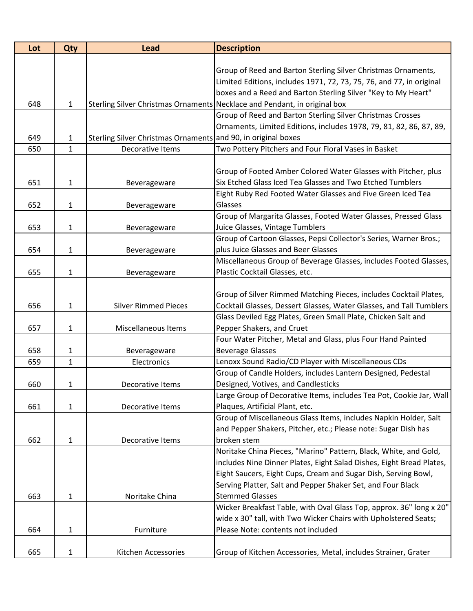| Lot | Qty          | <b>Lead</b>                                                   | <b>Description</b>                                                        |
|-----|--------------|---------------------------------------------------------------|---------------------------------------------------------------------------|
|     |              |                                                               |                                                                           |
|     |              |                                                               | Group of Reed and Barton Sterling Silver Christmas Ornaments,             |
|     |              |                                                               | Limited Editions, includes 1971, 72, 73, 75, 76, and 77, in original      |
|     |              |                                                               | boxes and a Reed and Barton Sterling Silver "Key to My Heart"             |
| 648 | $\mathbf{1}$ |                                                               | Sterling Silver Christmas Ornaments Necklace and Pendant, in original box |
|     |              |                                                               | Group of Reed and Barton Sterling Silver Christmas Crosses                |
|     |              |                                                               | Ornaments, Limited Editions, includes 1978, 79, 81, 82, 86, 87, 89,       |
| 649 | $\mathbf{1}$ | Sterling Silver Christmas Ornaments and 90, in original boxes |                                                                           |
| 650 | 1            | Decorative Items                                              | Two Pottery Pitchers and Four Floral Vases in Basket                      |
|     |              |                                                               |                                                                           |
|     |              |                                                               | Group of Footed Amber Colored Water Glasses with Pitcher, plus            |
| 651 | 1            | Beverageware                                                  | Six Etched Glass Iced Tea Glasses and Two Etched Tumblers                 |
|     |              |                                                               | Eight Ruby Red Footed Water Glasses and Five Green Iced Tea               |
| 652 | 1            | Beverageware                                                  | Glasses                                                                   |
|     |              |                                                               | Group of Margarita Glasses, Footed Water Glasses, Pressed Glass           |
| 653 | 1            | Beverageware                                                  | Juice Glasses, Vintage Tumblers                                           |
|     |              |                                                               | Group of Cartoon Glasses, Pepsi Collector's Series, Warner Bros.;         |
| 654 | 1            | Beverageware                                                  | plus Juice Glasses and Beer Glasses                                       |
|     |              |                                                               | Miscellaneous Group of Beverage Glasses, includes Footed Glasses,         |
| 655 | $\mathbf{1}$ | Beverageware                                                  | Plastic Cocktail Glasses, etc.                                            |
|     |              |                                                               |                                                                           |
|     |              |                                                               | Group of Silver Rimmed Matching Pieces, includes Cocktail Plates,         |
| 656 | $\mathbf{1}$ | <b>Silver Rimmed Pieces</b>                                   | Cocktail Glasses, Dessert Glasses, Water Glasses, and Tall Tumblers       |
|     |              |                                                               | Glass Deviled Egg Plates, Green Small Plate, Chicken Salt and             |
| 657 | 1            | Miscellaneous Items                                           | Pepper Shakers, and Cruet                                                 |
|     |              |                                                               | Four Water Pitcher, Metal and Glass, plus Four Hand Painted               |
| 658 | 1            | Beverageware                                                  | <b>Beverage Glasses</b>                                                   |
| 659 | $\mathbf{1}$ | Electronics                                                   | Lenoxx Sound Radio/CD Player with Miscellaneous CDs                       |
|     |              |                                                               | Group of Candle Holders, includes Lantern Designed, Pedestal              |
| 660 | 1            | Decorative Items                                              | Designed, Votives, and Candlesticks                                       |
|     |              |                                                               | Large Group of Decorative Items, includes Tea Pot, Cookie Jar, Wall       |
| 661 | 1            | Decorative Items                                              | Plaques, Artificial Plant, etc.                                           |
|     |              |                                                               | Group of Miscellaneous Glass Items, includes Napkin Holder, Salt          |
|     |              |                                                               | and Pepper Shakers, Pitcher, etc.; Please note: Sugar Dish has            |
| 662 | 1            | Decorative Items                                              | broken stem                                                               |
|     |              |                                                               | Noritake China Pieces, "Marino" Pattern, Black, White, and Gold,          |
|     |              |                                                               | includes Nine Dinner Plates, Eight Salad Dishes, Eight Bread Plates,      |
|     |              |                                                               | Eight Saucers, Eight Cups, Cream and Sugar Dish, Serving Bowl,            |
|     |              |                                                               | Serving Platter, Salt and Pepper Shaker Set, and Four Black               |
| 663 | $\mathbf{1}$ | Noritake China                                                | <b>Stemmed Glasses</b>                                                    |
|     |              |                                                               | Wicker Breakfast Table, with Oval Glass Top, approx. 36" long x 20"       |
|     |              |                                                               | wide x 30" tall, with Two Wicker Chairs with Upholstered Seats;           |
| 664 | 1            | Furniture                                                     | Please Note: contents not included                                        |
|     |              |                                                               |                                                                           |
| 665 | $\mathbf{1}$ | Kitchen Accessories                                           | Group of Kitchen Accessories, Metal, includes Strainer, Grater            |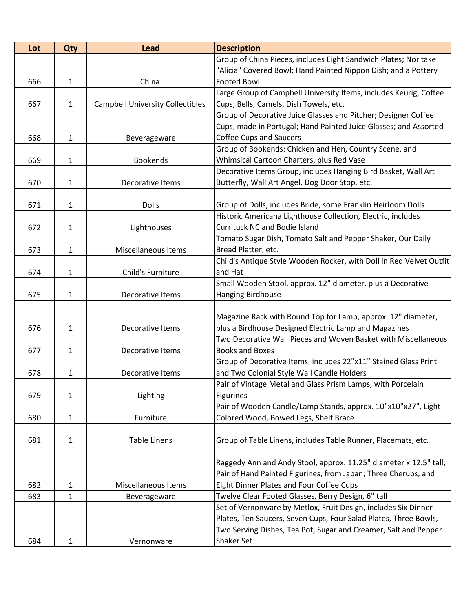| Lot | Qty          | <b>Lead</b>                             | <b>Description</b>                                                  |
|-----|--------------|-----------------------------------------|---------------------------------------------------------------------|
|     |              |                                         | Group of China Pieces, includes Eight Sandwich Plates; Noritake     |
|     |              |                                         | "Alicia" Covered Bowl; Hand Painted Nippon Dish; and a Pottery      |
| 666 | $\mathbf{1}$ | China                                   | <b>Footed Bowl</b>                                                  |
|     |              |                                         | Large Group of Campbell University Items, includes Keurig, Coffee   |
| 667 | 1            | <b>Campbell University Collectibles</b> | Cups, Bells, Camels, Dish Towels, etc.                              |
|     |              |                                         | Group of Decorative Juice Glasses and Pitcher; Designer Coffee      |
|     |              |                                         | Cups, made in Portugal; Hand Painted Juice Glasses; and Assorted    |
| 668 | $\mathbf{1}$ | Beverageware                            | <b>Coffee Cups and Saucers</b>                                      |
|     |              |                                         | Group of Bookends: Chicken and Hen, Country Scene, and              |
| 669 | $\mathbf{1}$ | <b>Bookends</b>                         | Whimsical Cartoon Charters, plus Red Vase                           |
|     |              |                                         | Decorative Items Group, includes Hanging Bird Basket, Wall Art      |
| 670 | $\mathbf{1}$ | Decorative Items                        | Butterfly, Wall Art Angel, Dog Door Stop, etc.                      |
|     |              |                                         |                                                                     |
| 671 | 1            | <b>Dolls</b>                            | Group of Dolls, includes Bride, some Franklin Heirloom Dolls        |
|     |              |                                         | Historic Americana Lighthouse Collection, Electric, includes        |
| 672 | $\mathbf{1}$ | Lighthouses                             | <b>Currituck NC and Bodie Island</b>                                |
|     |              |                                         | Tomato Sugar Dish, Tomato Salt and Pepper Shaker, Our Daily         |
| 673 | $\mathbf{1}$ | Miscellaneous Items                     | Bread Platter, etc.                                                 |
|     |              |                                         | Child's Antique Style Wooden Rocker, with Doll in Red Velvet Outfit |
| 674 | $\mathbf{1}$ | Child's Furniture                       | and Hat                                                             |
|     |              |                                         | Small Wooden Stool, approx. 12" diameter, plus a Decorative         |
| 675 | $\mathbf{1}$ | Decorative Items                        | Hanging Birdhouse                                                   |
|     |              |                                         |                                                                     |
|     |              |                                         | Magazine Rack with Round Top for Lamp, approx. 12" diameter,        |
| 676 | $\mathbf{1}$ | Decorative Items                        | plus a Birdhouse Designed Electric Lamp and Magazines               |
|     |              |                                         | Two Decorative Wall Pieces and Woven Basket with Miscellaneous      |
| 677 | $\mathbf{1}$ | Decorative Items                        | <b>Books and Boxes</b>                                              |
|     |              |                                         | Group of Decorative Items, includes 22"x11" Stained Glass Print     |
| 678 | 1            | Decorative Items                        | and Two Colonial Style Wall Candle Holders                          |
|     |              |                                         | Pair of Vintage Metal and Glass Prism Lamps, with Porcelain         |
| 679 | $\mathbf{1}$ | Lighting                                | Figurines                                                           |
|     |              |                                         | Pair of Wooden Candle/Lamp Stands, approx. 10"x10"x27", Light       |
| 680 | 1            | Furniture                               | Colored Wood, Bowed Legs, Shelf Brace                               |
|     |              |                                         |                                                                     |
| 681 | $\mathbf{1}$ | <b>Table Linens</b>                     | Group of Table Linens, includes Table Runner, Placemats, etc.       |
|     |              |                                         |                                                                     |
|     |              |                                         | Raggedy Ann and Andy Stool, approx. 11.25" diameter x 12.5" tall;   |
|     |              |                                         | Pair of Hand Painted Figurines, from Japan; Three Cherubs, and      |
| 682 | $\mathbf{1}$ | Miscellaneous Items                     | Eight Dinner Plates and Four Coffee Cups                            |
| 683 | $\mathbf{1}$ | Beverageware                            | Twelve Clear Footed Glasses, Berry Design, 6" tall                  |
|     |              |                                         | Set of Vernonware by Metlox, Fruit Design, includes Six Dinner      |
|     |              |                                         | Plates, Ten Saucers, Seven Cups, Four Salad Plates, Three Bowls,    |
|     |              |                                         | Two Serving Dishes, Tea Pot, Sugar and Creamer, Salt and Pepper     |
| 684 | 1            | Vernonware                              | Shaker Set                                                          |